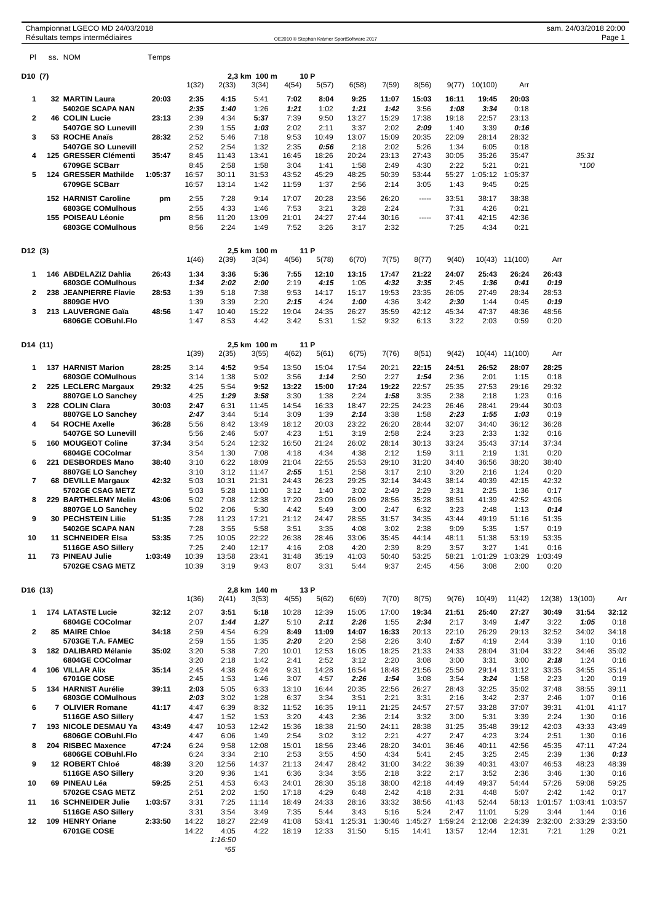| Championnat LGECO MD 24/03/2018 |  |  |
|---------------------------------|--|--|
|                                 |  |  |

| PI                   | ss. NOM                                         | Temps   |                |               |                |                |                |                  |                 |                  |                  |               |                          |                 |                 |                 |
|----------------------|-------------------------------------------------|---------|----------------|---------------|----------------|----------------|----------------|------------------|-----------------|------------------|------------------|---------------|--------------------------|-----------------|-----------------|-----------------|
| D <sub>10</sub> (7)  |                                                 |         |                |               | 2,3 km 100 m   |                | 10 P           |                  |                 |                  |                  |               |                          |                 |                 |                 |
|                      |                                                 |         | 1(32)          | 2(33)         | 3(34)          | 4(54)          | 5(57)          | 6(58)            | 7(59)           | 8(56)            | 9(77)            | 10(100)       | Arr                      |                 |                 |                 |
| 1                    | <b>32 MARTIN Laura</b><br>5402GE SCAPA NAN      | 20:03   | 2:35<br>2:35   | 4:15<br>1:40  | 5:41<br>1:26   | 7:02<br>1:21   | 8:04<br>1:02   | 9:25<br>1:21     | 11:07<br>1:42   | 15:03<br>3:56    | 16:11<br>1:08    | 19:45<br>3:34 | 20:03<br>0:18            |                 |                 |                 |
| 2                    | <b>46 COLIN Lucie</b>                           | 23:13   | 2:39           | 4:34          | 5:37           | 7:39           | 9:50           | 13:27            | 15:29           | 17:38            | 19:18            | 22:57         | 23:13                    |                 |                 |                 |
| 3                    | 5407GE SO Lunevill<br>53 ROCHE Anaïs            | 28:32   | 2:39<br>2:52   | 1:55<br>5:46  | 1:03<br>7:18   | 2:02<br>9:53   | 2:11<br>10:49  | 3:37<br>13:07    | 2:02<br>15:09   | 2:09<br>20:35    | 1:40<br>22:09    | 3:39<br>28:14 | 0:16<br>28:32            |                 |                 |                 |
|                      | 5407GE SO Lunevill                              |         | 2:52           | 2:54          | 1:32           | 2:35           | 0:56           | 2:18             | 2:02            | 5:26             | 1:34             | 6:05          | 0:18                     |                 |                 |                 |
| 4                    | 125 GRESSER Clémenti<br>6709GE SCBarr           | 35:47   | 8:45<br>8:45   | 11:43         | 13:41<br>1:58  | 16:45<br>3:04  | 18:26<br>1:41  | 20:24<br>1:58    | 23:13<br>2:49   | 27:43<br>4:30    | 30:05<br>2:22    | 35:26<br>5:21 | 35:47<br>0:21            |                 | 35:31<br>$*100$ |                 |
| 5                    | 124 GRESSER Mathilde                            | 1:05:37 | 16:57          | 2:58<br>30:11 | 31:53          | 43:52          | 45:29          | 48:25            | 50:39           | 53:44            | 55:27            | 1:05:12       | 1:05:37                  |                 |                 |                 |
|                      | 6709GE SCBarr                                   |         | 16:57          | 13:14         | 1:42           | 11:59          | 1:37           | 2:56             | 2:14            | 3:05             | 1:43             | 9:45          | 0:25                     |                 |                 |                 |
|                      | <b>152 HARNIST Caroline</b><br>6803GE COMulhous | pm      | 2:55           | 7:28<br>4:33  | 9:14<br>1:46   | 17:07<br>7:53  | 20:28<br>3:21  | 23:56<br>3:28    | 26:20<br>2:24   | -----            | 33:51<br>7:31    | 38:17<br>4:26 | 38:38<br>0:21            |                 |                 |                 |
|                      | 155 POISEAU Léonie                              | pm      | 2:55<br>8:56   | 11:20         | 13:09          | 21:01          | 24:27          | 27:44            | 30:16           | -----            | 37:41            | 42:15         | 42:36                    |                 |                 |                 |
|                      | 6803GE COMulhous                                |         | 8:56           | 2:24          | 1:49           | 7:52           | 3:26           | 3:17             | 2:32            |                  | 7:25             | 4:34          | 0:21                     |                 |                 |                 |
| D12 (3)              |                                                 |         |                |               | 2,5 km 100 m   | 11 P           |                |                  |                 |                  |                  |               |                          |                 |                 |                 |
|                      |                                                 |         | 1(46)          | 2(39)         | 3(34)          | 4(56)          | 5(78)          | 6(70)            | 7(75)           | 8(77)            | 9(40)            |               | 10(43) 11(100)           | Arr             |                 |                 |
| 1                    | 146 ABDELAZIZ Dahlia                            | 26:43   | 1:34           | 3:36          | 5:36           | 7:55           | 12:10          | 13:15            | 17:47           | 21:22            | 24:07            | 25:43         | 26:24                    | 26:43           |                 |                 |
| 2                    | 6803GE COMulhous<br>238 JEANPIERRE Flavie       | 28:53   | 1:34<br>1:39   | 2:02<br>5:18  | 2:00<br>7:38   | 2:19<br>9:53   | 4:15<br>14:17  | 1:05<br>15:17    | 4:32<br>19:53   | 3:35<br>23:35    | 2:45<br>26:05    | 1:36<br>27:49 | 0:41<br>28:34            | 0:19<br>28:53   |                 |                 |
|                      | <b>8809GE HVO</b>                               |         | 1:39           | 3:39          | 2:20           | 2:15           | 4:24           | 1:00             | 4:36            | 3:42             | 2:30             | 1:44          | 0:45                     | 0:19            |                 |                 |
| 3                    | 213 LAUVERGNE Gaïa<br>6806GE COBuhl.Flo         | 48:56   | 1:47<br>1:47   | 10:40<br>8:53 | 15:22<br>4:42  | 19:04<br>3:42  | 24:35<br>5:31  | 26:27<br>1:52    | 35:59<br>9:32   | 42:12<br>6:13    | 45:34<br>3:22    | 47:37<br>2:03 | 48:36<br>0:59            | 48:56<br>0:20   |                 |                 |
|                      |                                                 |         |                |               |                |                |                |                  |                 |                  |                  |               |                          |                 |                 |                 |
| D14 (11)             |                                                 |         |                |               | 2,5 km 100 m   | 11 P           |                |                  |                 |                  |                  |               |                          |                 |                 |                 |
|                      |                                                 |         | 1(39)          | 2(35)         | 3(55)          | 4(62)          | 5(61)          | 6(75)            | 7(76)           | 8(51)            | 9(42)            | 10(44)        | 11(100)                  | Arr             |                 |                 |
| 1                    | <b>137 HARNIST Marion</b><br>6803GE COMulhous   | 28:25   | 3:14<br>3:14   | 4:52<br>1:38  | 9:54<br>5:02   | 13:50<br>3:56  | 15:04<br>1:14  | 17:54<br>2:50    | 20:21<br>2:27   | 22:15<br>1:54    | 24:51<br>2:36    | 26:52<br>2:01 | 28:07<br>1:15            | 28:25<br>0:18   |                 |                 |
| 2                    | 225 LECLERC Margaux                             | 29:32   | 4:25           | 5:54          | 9:52           | 13:22          | 15:00          | 17:24            | 19:22           | 22:57            | 25:35            | 27:53         | 29:16                    | 29:32           |                 |                 |
| 3                    | 8807GE LO Sanchey<br>228 COLIN Clara            | 30:03   | 4:25<br>2:47   | 1:29<br>6:31  | 3:58<br>11:45  | 3:30<br>14:54  | 1:38<br>16:33  | 2:24<br>18:47    | 1:58<br>22:25   | 3:35<br>24:23    | 2:38<br>26:46    | 2:18<br>28:41 | 1:23<br>29:44            | 0:16<br>30:03   |                 |                 |
|                      | 8807GE LO Sanchey                               |         | 2:47           | 3:44          | 5:14           | 3:09           | 1:39           | 2:14             | 3:38            | 1:58             | 2:23             | 1:55          | 1:03                     | 0:19            |                 |                 |
| 4                    | 54 ROCHE Axelle<br>5407GE SO Lunevill           | 36:28   | 5:56<br>5:56   | 8:42<br>2:46  | 13:49<br>5:07  | 18:12<br>4:23  | 20:03<br>1:51  | 23:22<br>3:19    | 26:20<br>2:58   | 28:44<br>2:24    | 32:07<br>3:23    | 34:40<br>2:33 | 36:12<br>1:32            | 36:28<br>0:16   |                 |                 |
| 5                    | 160 MOUGEOT Coline                              | 37:34   | 3:54           | 5:24          | 12:32          | 16:50          | 21:24          | 26:02            | 28:14           | 30:13            | 33:24            | 35:43         | 37:14                    | 37:34           |                 |                 |
| 6                    | 6804GE COColmar<br>221 DESBORDES Mano           | 38:40   | 3:54<br>3:10   | 1:30<br>6:22  | 7:08<br>18:09  | 4:18<br>21:04  | 4:34<br>22:55  | 4:38<br>25:53    | 2:12<br>29:10   | 1:59<br>31:20    | 3:11<br>34:40    | 2:19<br>36:56 | 1:31<br>38:20            | 0:20<br>38:40   |                 |                 |
|                      | 8807GE LO Sanchey                               |         | 3:10           | 3:12          | 11:47          | 2:55           | 1:51           | 2:58             | 3:17            | 2:10             | 3:20             | 2:16          | 1:24                     | 0:20            |                 |                 |
| 7                    | 68 DEVILLE Margaux<br>5702GE CSAG METZ          | 42:32   | 5:03<br>5:03   | 10:31<br>5:28 | 21:31<br>11:00 | 24:43<br>3:12  | 26:23<br>1:40  | 29:25<br>3:02    | 32:14<br>2:49   | 34:43<br>2:29    | 38:14<br>3:31    | 40:39<br>2:25 | 42:15<br>1:36            | 42:32<br>0:17   |                 |                 |
| 8                    | 229 BARTHELEMY Melin                            | 43:06   | 5:02           | 7:08          | 12:38          | 17:20          | 23:09          | 26:09            | 28:56           | 35:28            | 38:51            | 41:39         | 42:52                    | 43:06           |                 |                 |
| 9                    | 8807GE LO Sanchey<br><b>30 PECHSTEIN Lilie</b>  | 51:35   | 5:02<br>7:28   | 2:06<br>11:23 | 5:30<br>17:21  | 4:42<br>21:12  | 5:49<br>24:47  | 3:00<br>28:55    | 2:47<br>31:57   | 6:32<br>34:35    | 3:23<br>43:44    | 2:48<br>49:19 | 1:13<br>51:16            | 0:14<br>51:35   |                 |                 |
|                      | 5402GE SCAPA NAN                                |         | 7:28           | 3:55          | 5:58           | 3:51           | 3:35           | 4:08             | 3:02            | 2:38             | 9:09             | 5:35          | 1:57                     | 0:19            |                 |                 |
| 10                   | 11 SCHNEIDER Elsa<br>5116GE ASO Sillery         | 53:35   | 7:25<br>7:25   | 10:05<br>2:40 | 22:22<br>12:17 | 26:38<br>4:16  | 28:46<br>2:08  | 33:06<br>4:20    | 35:45<br>2:39   | 44:14<br>8:29    | 48:11<br>3:57    | 51:38<br>3:27 | 53:19<br>1:41            | 53:35<br>0:16   |                 |                 |
| 11                   | 73 PINEAU Julie                                 | 1:03:49 | 10:39          | 13:58         | 23:41          | 31:48          | 35:19          | 41:03            | 50:40           | 53:25            | 58:21            | 1:01:29       | 1:03:29                  | 1:03:49         |                 |                 |
|                      | 5702GE CSAG METZ                                |         | 10:39          | 3:19          | 9:43           | 8:07           | 3:31           | 5:44             | 9:37            | 2:45             | 4:56             | 3:08          | 2:00                     | 0:20            |                 |                 |
| D <sub>16</sub> (13) |                                                 |         |                |               | 2,8 km 140 m   |                | 13 P           |                  |                 |                  |                  |               |                          |                 |                 |                 |
|                      |                                                 |         | 1(36)          | 2(41)         | 3(53)          | 4(55)          | 5(62)          | 6(69)            | 7(70)           | 8(75)            | 9(76)            | 10(49)        | 11(42)                   | 12(38)          | 13(100)         | Arr             |
| 1                    | <b>174 LATASTE Lucie</b>                        | 32:12   | 2:07           | 3:51          | 5:18           | 10:28          | 12:39          | 15:05            | 17:00           | 19:34            | 21:51            | 25:40         | 27:27                    | 30:49           | 31:54           | 32:12           |
| $\overline{2}$       | 6804GE COColmar<br><b>85 MAIRE Chloe</b>        | 34:18   | 2:07<br>2:59   | 1:44<br>4:54  | 1:27<br>6:29   | 5:10<br>8:49   | 2:11<br>11:09  | 2:26<br>14:07    | 1:55<br>16:33   | 2:34<br>20:13    | 2:17<br>22:10    | 3:49<br>26:29 | 1:47<br>29:13            | 3:22<br>32:52   | 1:05<br>34:02   | 0:18<br>34:18   |
|                      | <b>5703GE T.A. FAMEC</b>                        |         | 2:59           | 1:55          | 1:35           | 2:20           | 2:20           | 2:58             | 2:26            | 3:40             | 1:57             | 4:19          | 2:44                     | 3:39            | 1:10            | 0:16            |
| 3                    | 182 DALIBARD Mélanie<br>6804GE COColmar         | 35:02   | 3:20<br>3:20   | 5:38<br>2:18  | 7:20<br>1:42   | 10:01<br>2:41  | 12:53<br>2:52  | 16:05<br>3:12    | 18:25<br>2:20   | 21:33<br>3:08    | 24:33<br>3:00    | 28:04<br>3:31 | 31:04<br>3:00            | 33:22<br>2:18   | 34:46<br>1:24   | 35:02<br>0:16   |
| 4                    | 106 VILLAR Alix                                 | 35:14   | 2:45           | 4:38          | 6:24           | 9:31           | 14:28          | 16:54            | 18:48           | 21:56            | 25:50            | 29:14         | 31:12                    | 33:35           | 34:55           | 35:14           |
| 5                    | 6701GE COSE<br>134 HARNIST Aurélie              | 39:11   | 2:45<br>2:03   | 1:53<br>5:05  | 1:46<br>6:33   | 3:07<br>13:10  | 4:57<br>16:44  | 2:26<br>20:35    | 1:54<br>22:56   | 3:08<br>26:27    | 3:54<br>28:43    | 3:24<br>32:25 | 1:58<br>35:02            | 2:23<br>37:48   | 1:20<br>38:55   | 0:19<br>39:11   |
|                      | <b>6803GE COMulhous</b>                         |         | 2:03           | 3:02          | 1:28           | 6:37           | 3:34           | 3:51             | 2:21            | 3:31             | 2:16             | 3:42          | 2:37                     | 2:46            | 1:07            | 0:16            |
| 6                    | 7 OLIVIER Romane<br>5116GE ASO Sillery          | 41:17   | 4:47<br>4:47   | 6:39<br>1:52  | 8:32<br>1:53   | 11:52<br>3:20  | 16:35<br>4:43  | 19:11<br>2:36    | 21:25<br>2:14   | 24:57<br>3:32    | 27:57<br>3:00    | 33:28<br>5:31 | 37:07<br>3:39            | 39:31<br>2:24   | 41:01<br>1:30   | 41:17<br>0:16   |
| $\overline{7}$       | 193 NICOLE DESMAU Ya                            | 43:49   | 4:47           | 10:53         | 12:42          | 15:36          | 18:38          | 21:50            | 24:11           | 28:38            | 31:25            | 35:48         | 39:12                    | 42:03           | 43:33           | 43:49           |
| 8                    | 6806GE COBuhl.Flo<br>204 RISBEC Maxence         | 47:24   | 4:47<br>6:24   | 6:06<br>9:58  | 1:49<br>12:08  | 2:54<br>15:01  | 3:02<br>18:56  | 3:12<br>23:46    | 2:21<br>28:20   | 4:27<br>34:01    | 2:47<br>36:46    | 4:23<br>40:11 | 3:24<br>42:56            | 2:51<br>45:35   | 1:30<br>47:11   | 0:16<br>47:24   |
|                      | 6806GE COBuhl.Flo                               |         | 6:24           | 3:34          | 2:10           | 2:53           | 3:55           | 4:50             | 4:34            | 5:41             | 2:45             | 3:25          | 2:45                     | 2:39            | 1:36            | 0:13            |
| 9                    | 12 ROBERT Chloé<br>5116GE ASO Sillery           | 48:39   | 3:20<br>3:20   | 12:56<br>9:36 | 14:37<br>1:41  | 21:13<br>6:36  | 24:47<br>3:34  | 28:42<br>3:55    | 31:00<br>2:18   | 34:22<br>3:22    | 36:39<br>2:17    | 40:31<br>3:52 | 43:07<br>2:36            | 46:53<br>3:46   | 48:23<br>1:30   | 48:39<br>0:16   |
| 10                   | 69 PINEAU Léa                                   | 59:25   | 2:51           | 4:53          | 6:43           | 24:01          | 28:30          | 35:18            | 38:00           | 42:18            | 44:49            | 49:37         | 54:44                    | 57:26           | 59:08           | 59:25           |
| 11                   | 5702GE CSAG METZ<br><b>16 SCHNEIDER Julie</b>   | 1:03:57 | 2:51<br>3:31   | 2:02<br>7:25  | 1:50<br>11:14  | 17:18<br>18:49 | 4:29<br>24:33  | 6:48<br>28:16    | 2:42<br>33:32   | 4:18<br>38:56    | 2:31<br>41:43    | 4:48<br>52:44 | 5:07<br>58:13            | 2:42<br>1:01:57 | 1:42<br>1:03:41 | 0:17<br>1:03:57 |
|                      | 5116GE ASO Sillery                              |         | 3:31           | 3:54          | 3:49           | 7:35           | 5:44           | 3:43             | 5:16            | 5:24             | 2:47             | 11:01         | 5:29                     | 3:44            | 1:44            | 0:16            |
| 12                   | 109 HENRY Oriane<br>6701GE COSE                 | 2:33:50 | 14:22<br>14:22 | 18:27<br>4:05 | 22:49<br>4:22  | 41:08<br>18:19 | 53:41<br>12:33 | 1:25:31<br>31:50 | 1:30:46<br>5:15 | 1:45:27<br>14:41 | 1:59:24<br>13:57 | 12:44         | 2:12:08 2:24:39<br>12:31 | 2:32:00<br>7:21 | 2:33:29<br>1:29 | 2:33:50<br>0:21 |
|                      |                                                 |         |                | 1:16:50       |                |                |                |                  |                 |                  |                  |               |                          |                 |                 |                 |

*\*65*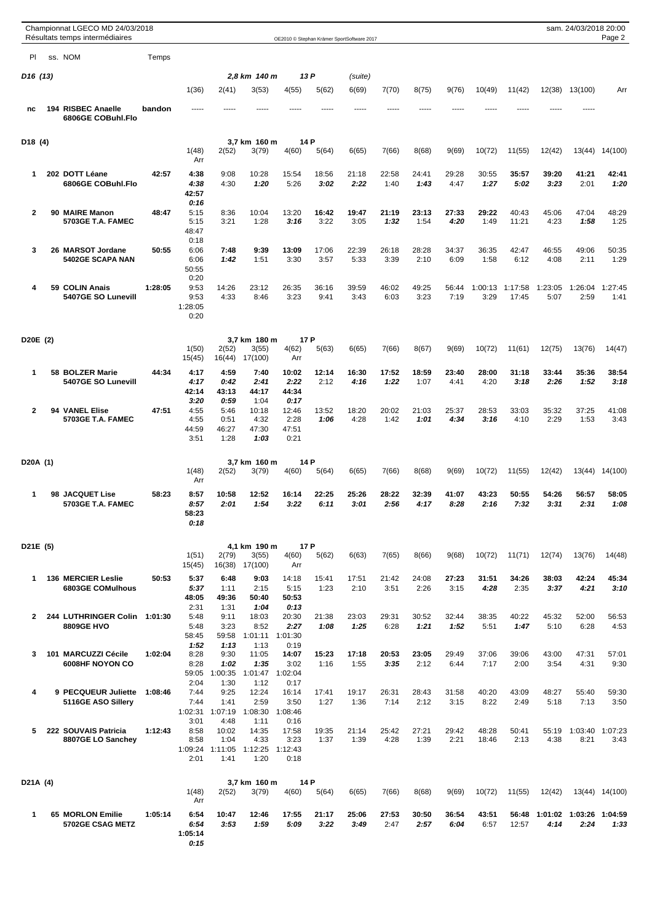|                       |    | Championnat LGECO MD 24/03/2018<br>Résultats temps intermédiaires |         |                 |                 |                       |                 |               | OE2010 © Stephan Krämer SportSoftware 2017 |               |               |               |                 |                  |                 | sam. 24/03/2018 20:00 | Page 2          |
|-----------------------|----|-------------------------------------------------------------------|---------|-----------------|-----------------|-----------------------|-----------------|---------------|--------------------------------------------|---------------|---------------|---------------|-----------------|------------------|-----------------|-----------------------|-----------------|
| PI.                   |    | ss. NOM                                                           | Temps   |                 |                 |                       |                 |               |                                            |               |               |               |                 |                  |                 |                       |                 |
|                       |    |                                                                   |         |                 |                 | 2,8 km 140 m          |                 |               |                                            |               |               |               |                 |                  |                 |                       |                 |
| D <sub>16</sub> (13)  |    |                                                                   |         | 1(36)           | 2(41)           | 3(53)                 | 4(55)           | 13 P<br>5(62) | (suite)<br>6(69)                           | 7(70)         | 8(75)         | 9(76)         | 10(49)          | 11(42)           | 12(38)          | 13(100)               | Arr             |
|                       |    |                                                                   |         |                 |                 |                       |                 |               |                                            |               |               |               |                 |                  |                 |                       |                 |
| nc                    |    | 194 RISBEC Anaelle<br>6806GE COBuhl.Flo                           | bandon  | -----           |                 |                       |                 |               | -----                                      |               |               |               |                 |                  |                 |                       |                 |
| D <sub>18</sub> (4)   |    |                                                                   |         |                 |                 | 3,7 km 160 m          |                 | 14 P          |                                            |               |               |               |                 |                  |                 |                       |                 |
|                       |    |                                                                   |         | 1(48)<br>Arr    | 2(52)           | 3(79)                 | 4(60)           | 5(64)         | 6(65)                                      | 7(66)         | 8(68)         | 9(69)         | 10(72)          | 11(55)           | 12(42)          | 13(44)                | 14(100)         |
| 1                     |    | 202 DOTT Léane<br>6806GE COBuhl.Flo                               | 42:57   | 4:38<br>4:38    | 9:08<br>4:30    | 10:28<br>1:20         | 15:54<br>5:26   | 18:56<br>3:02 | 21:18<br>2:22                              | 22:58<br>1:40 | 24:41<br>1:43 | 29:28<br>4:47 | 30:55<br>1:27   | 35:57<br>5:02    | 39:20<br>3:23   | 41:21<br>2:01         | 42:41<br>1:20   |
|                       |    |                                                                   |         | 42:57<br>0:16   |                 |                       |                 |               |                                            |               |               |               |                 |                  |                 |                       |                 |
| $\mathbf{2}$          |    | 90 MAIRE Manon<br>5703GE T.A. FAMEC                               | 48:47   | 5:15<br>5:15    | 8:36<br>3:21    | 10:04<br>1:28         | 13:20<br>3:16   | 16:42<br>3:22 | 19:47<br>3:05                              | 21:19<br>1:32 | 23:13<br>1:54 | 27:33<br>4:20 | 29:22<br>1:49   | 40:43<br>11:21   | 45:06<br>4:23   | 47:04<br>1:58         | 48:29<br>1:25   |
|                       |    |                                                                   |         | 48:47           |                 |                       |                 |               |                                            |               |               |               |                 |                  |                 |                       |                 |
| 3                     |    | 26 MARSOT Jordane                                                 | 50:55   | 0:18<br>6:06    | 7:48            | 9:39                  | 13:09           | 17:06         | 22:39                                      | 26:18         | 28:28         | 34:37         | 36:35           | 42:47            | 46:55           | 49:06                 | 50:35           |
|                       |    | <b>5402GE SCAPA NAN</b>                                           |         | 6:06            | 1:42            | 1:51                  | 3:30            | 3:57          | 5:33                                       | 3:39          | 2:10          | 6:09          | 1:58            | 6:12             | 4:08            | 2:11                  | 1:29            |
|                       |    |                                                                   |         | 50:55<br>0:20   |                 |                       |                 |               |                                            |               |               |               |                 |                  |                 |                       |                 |
| 4                     | 59 | <b>COLIN Anais</b><br>5407GE SO Lunevill                          | 1:28:05 | 9:53<br>9:53    | 14:26<br>4:33   | 23:12<br>8:46         | 26:35<br>3:23   | 36:16<br>9:41 | 39:59<br>3:43                              | 46:02<br>6:03 | 49:25<br>3:23 | 56:44<br>7:19 | 1:00:13<br>3:29 | 1:17:58<br>17:45 | 1:23:05<br>5:07 | 1:26:04<br>2:59       | 1:27:45<br>1:41 |
|                       |    |                                                                   |         | 1:28:05<br>0:20 |                 |                       |                 |               |                                            |               |               |               |                 |                  |                 |                       |                 |
|                       |    |                                                                   |         |                 |                 |                       |                 |               |                                            |               |               |               |                 |                  |                 |                       |                 |
| D20E (2)              |    |                                                                   |         | 1(50)           | 2(52)           | 3,7 km 180 m<br>3(55) | 4(62)           | 17 P<br>5(63) | 6(65)                                      | 7(66)         | 8(67)         | 9(69)         | 10(72)          | 11(61)           | 12(75)          | 13(76)                | 14(47)          |
|                       |    |                                                                   |         | 15(45)          | 16(44)          | 17(100)               | Arr             |               |                                            |               |               |               |                 |                  |                 |                       |                 |
| 1                     |    | 58 BOLZER Marie                                                   | 44:34   | 4:17            | 4:59            | 7:40                  | 10:02           | 12:14         | 16:30                                      | 17:52         | 18:59         | 23:40         | 28:00           | 31:18            | 33:44           | 35:36                 | 38:54           |
|                       |    | 5407GE SO Lunevill                                                |         | 4:17<br>42:14   | 0:42<br>43:13   | 2:41<br>44:17         | 2:22<br>44:34   | 2:12          | 4:16                                       | 1:22          | 1:07          | 4:41          | 4:20            | 3:18             | 2:26            | 1:52                  | 3:18            |
| $\mathbf{2}$          |    | 94 VANEL Elise                                                    | 47:51   | 3:20<br>4:55    | 0:59<br>5:46    | 1:04<br>10:18         | 0:17<br>12:46   | 13:52         | 18:20                                      | 20:02         | 21:03         | 25:37         | 28:53           | 33:03            | 35:32           | 37:25                 | 41:08           |
|                       |    | 5703GE T.A. FAMEC                                                 |         | 4:55            | 0:51            | 4:32                  | 2:28            | 1:06          | 4:28                                       | 1:42          | 1:01          | 4:34          | 3:16            | 4:10             | 2:29            | 1:53                  | 3:43            |
|                       |    |                                                                   |         | 44:59<br>3:51   | 46:27<br>1:28   | 47:30<br>1:03         | 47:51<br>0:21   |               |                                            |               |               |               |                 |                  |                 |                       |                 |
| D <sub>20</sub> A (1) |    |                                                                   |         |                 |                 | 3,7 km 160 m          |                 | 14 P          |                                            |               |               |               |                 |                  |                 |                       |                 |
|                       |    |                                                                   |         | 1(48)<br>Arr    | 2(52)           | 3(79)                 | 4(60)           | 5(64)         | 6(65)                                      | 7(66)         | 8(68)         | 9(69)         | 10(72)          | 11(55)           | 12(42)          | 13(44)                | 14(100)         |
| 1                     |    | 98 JACQUET Lise                                                   | 58:23   | 8:57            | 10:58           | 12:52                 | 16:14           | 22:25         | 25:26                                      | 28:22         | 32:39         | 41:07         | 43:23           | 50:55            | 54:26           | 56:57                 | 58:05           |
|                       |    | 5703GE T.A. FAMEC                                                 |         | 8:57<br>58:23   | 2:01            | 1:54                  | 3:22            | 6:11          | 3:01                                       | 2:56          | 4:17          | 8:28          | 2:16            | 7:32             | 3:31            | 2:31                  | 1:08            |
|                       |    |                                                                   |         | 0:18            |                 |                       |                 |               |                                            |               |               |               |                 |                  |                 |                       |                 |
| D21E (5)              |    |                                                                   |         |                 |                 | 4,1 km 190 m          |                 | 17 P          |                                            |               |               |               |                 |                  |                 |                       |                 |
|                       |    |                                                                   |         | 1(51)<br>15(45) | 2(79)<br>16(38) | 3(55)<br>17(100)      | 4(60)<br>Arr    | 5(62)         | 6(63)                                      | 7(65)         | 8(66)         | 9(68)         | 10(72)          | 11(71)           | 12(74)          | 13(76)                | 14(48)          |
| 1                     |    | <b>136 MERCIER Leslie</b>                                         | 50:53   | 5:37            | 6:48            | 9:03                  | 14:18           | 15:41         | 17:51                                      | 21:42         | 24:08         | 27:23         | 31:51           | 34:26            | 38:03           | 42:24                 | 45:34           |
|                       |    | 6803GE COMulhous                                                  |         | 5:37            | 1:11            | 2:15                  | 5:15            | 1:23          | 2:10                                       | 3:51          | 2:26          | 3:15          | 4:28            | 2:35             | 3:37            | 4:21                  | 3:10            |
|                       |    |                                                                   |         | 48:05<br>2:31   | 49:36<br>1:31   | 50:40<br>1:04         | 50:53<br>0:13   |               |                                            |               |               |               |                 |                  |                 |                       |                 |
| 2                     |    | 244 LUTHRINGER Colin 1:01:30<br>8809GE HVO                        |         | 5:48<br>5:48    | 9:11<br>3:23    | 18:03<br>8:52         | 20:30<br>2:27   | 21:38<br>1:08 | 23:03<br>1:25                              | 29:31<br>6:28 | 30:52<br>1:21 | 32:44<br>1:52 | 38:35<br>5:51   | 40:22<br>1:47    | 45:32<br>5:10   | 52:00<br>6:28         | 56:53<br>4:53   |
|                       |    |                                                                   |         | 58:45           | 59:58           | 1:01:11               | 1:01:30         |               |                                            |               |               |               |                 |                  |                 |                       |                 |
| 3                     |    | 101 MARCUZZI Cécile                                               | 1:02:04 | 1:52<br>8:28    | 1:13<br>9:30    | 1:13<br>11:05         | 0:19<br>14:07   | 15:23         | 17:18                                      | 20:53         | 23:05         | 29:49         | 37:06           | 39:06            | 43:00           | 47:31                 | 57:01           |
|                       |    | 6008HF NOYON CO                                                   |         | 8:28<br>59:05   | 1:02<br>1:00:35 | 1:35<br>1:01:47       | 3:02<br>1:02:04 | 1:16          | 1:55                                       | 3:35          | 2:12          | 6:44          | 7:17            | 2:00             | 3:54            | 4:31                  | 9:30            |
|                       |    |                                                                   |         | 2:04            | 1:30            | 1:12                  | 0:17            |               |                                            |               |               |               |                 |                  |                 |                       |                 |
| 4                     |    | 9 PECQUEUR Juliette<br>5116GE ASO Sillery                         | 1:08:46 | 7:44<br>7:44    | 9:25<br>1:41    | 12:24<br>2:59         | 16:14<br>3:50   | 17:41<br>1:27 | 19:17<br>1:36                              | 26:31<br>7:14 | 28:43<br>2:12 | 31:58<br>3:15 | 40:20<br>8:22   | 43:09<br>2:49    | 48:27<br>5:18   | 55:40<br>7:13         | 59:30<br>3:50   |
|                       |    |                                                                   |         | 1:02:31<br>3:01 | 1:07:19<br>4:48 | 1:08:30<br>1:11       | 1:08:46<br>0:16 |               |                                            |               |               |               |                 |                  |                 |                       |                 |
| 5                     |    | 222 SOUVAIS Patricia                                              | 1:12:43 | 8:58            | 10:02           | 14:35                 | 17:58           | 19:35         | 21:14                                      | 25:42         | 27:21         | 29:42         | 48:28           | 50:41            | 55:19           | 1:03:40 1:07:23       |                 |
|                       |    | 8807GE LO Sanchey                                                 |         | 8:58<br>1:09:24 | 1:04<br>1:11:05 | 4:33<br>1:12:25       | 3:23<br>1:12:43 | 1:37          | 1:39                                       | 4:28          | 1:39          | 2:21          | 18:46           | 2:13             | 4:38            | 8:21                  | 3:43            |
|                       |    |                                                                   |         | 2:01            | 1:41            | 1:20                  | 0:18            |               |                                            |               |               |               |                 |                  |                 |                       |                 |
| D21A (4)              |    |                                                                   |         |                 |                 | 3,7 km 160 m          |                 | 14 P          |                                            |               |               |               |                 |                  |                 |                       |                 |
|                       |    |                                                                   |         | 1(48)<br>Arr    | 2(52)           | 3(79)                 | 4(60)           | 5(64)         | 6(65)                                      | 7(66)         | 8(68)         | 9(69)         | 10(72)          | 11(55)           | 12(42)          |                       | 13(44) 14(100)  |
| 1                     |    | <b>65 MORLON Emilie</b>                                           | 1:05:14 | 6:54            | 10:47           | 12:46                 | 17:55           | 21:17         | 25:06                                      | 27:53         | 30:50         | 36:54         | 43:51           | 56:48            | 1:01:02         | 1:03:26 1:04:59       |                 |
|                       |    | 5702GE CSAG METZ                                                  |         | 6:54<br>1:05:14 | 3:53            | 1:59                  | 5:09            | 3:22          | 3:49                                       | 2:47          | 2:57          | 6:04          | 6:57            | 12:57            | 4:14            | 2:24                  | 1:33            |
|                       |    |                                                                   |         | 0:15            |                 |                       |                 |               |                                            |               |               |               |                 |                  |                 |                       |                 |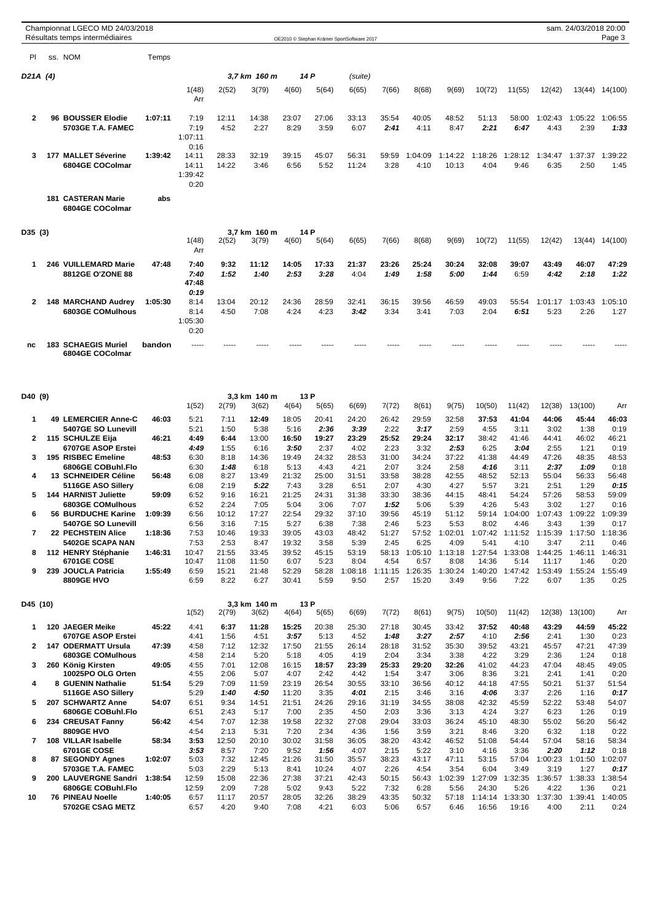|                |     | Championnat LGECO MD 24/03/2018<br>Résultats temps intermédiaires |         |                  |                |                       |                |               | OE2010 © Stephan Krämer SportSoftware 2017 |                 |                 |                 |                  |                         |                                       | sam. 24/03/2018 20:00 | Page 3          |
|----------------|-----|-------------------------------------------------------------------|---------|------------------|----------------|-----------------------|----------------|---------------|--------------------------------------------|-----------------|-----------------|-----------------|------------------|-------------------------|---------------------------------------|-----------------------|-----------------|
| PI             |     | ss. NOM                                                           | Temps   |                  |                |                       |                |               |                                            |                 |                 |                 |                  |                         |                                       |                       |                 |
|                |     |                                                                   |         |                  |                |                       |                |               |                                            |                 |                 |                 |                  |                         |                                       |                       |                 |
| D21A (4)       |     |                                                                   |         |                  |                | 3,7 km  160 m         |                | 14 P          | (suite)                                    |                 |                 |                 |                  |                         |                                       |                       |                 |
|                |     |                                                                   |         | 1(48)<br>Arr     | 2(52)          | 3(79)                 | 4(60)          | 5(64)         | 6(65)                                      | 7(66)           | 8(68)           | 9(69)           | 10(72)           | 11(55)                  | 12(42)                                |                       | 13(44) 14(100)  |
| 2              |     | 96 BOUSSER Elodie                                                 | 1:07:11 | 7:19             | 12:11          | 14:38                 | 23:07          | 27:06         | 33:13                                      | 35:54           | 40:05           | 48:52           | 51:13            | 58:00                   | 1:02:43                               | 1:05:22               | 1:06:55         |
|                |     | <b>5703GE T.A. FAMEC</b>                                          |         | 7:19<br>1:07:11  | 4:52           | 2:27                  | 8:29           | 3:59          | 6:07                                       | 2:41            | 4:11            | 8:47            | 2:21             | 6:47                    | 4:43                                  | 2:39                  | 1:33            |
|                |     |                                                                   |         | 0:16             |                |                       |                |               |                                            |                 |                 |                 |                  |                         |                                       |                       |                 |
| 3              |     | 177 MALLET Séverine                                               | 1:39:42 | 14:11            | 28:33          | 32:19                 | 39:15          | 45:07         | 56:31                                      | 59:59           | 1:04:09         | 1:14:22         | 1:18:26          | 1:28:12                 | 1:34:47                               | 1:37:37               | 1:39:22         |
|                |     | 6804GE COColmar                                                   |         | 14:11<br>1:39:42 | 14:22          | 3:46                  | 6:56           | 5:52          | 11:24                                      | 3:28            | 4:10            | 10:13           | 4:04             | 9:46                    | 6:35                                  | 2:50                  | 1:45            |
|                |     |                                                                   |         | 0:20             |                |                       |                |               |                                            |                 |                 |                 |                  |                         |                                       |                       |                 |
|                |     | <b>181 CASTERAN Marie</b><br>6804GE COColmar                      | abs     |                  |                |                       |                |               |                                            |                 |                 |                 |                  |                         |                                       |                       |                 |
| D35 (3)        |     |                                                                   |         |                  |                | 3,7 km 160 m          |                | 14 P          |                                            |                 |                 |                 |                  |                         |                                       |                       |                 |
|                |     |                                                                   |         | 1(48)<br>Arr     | 2(52)          | 3(79)                 | 4(60)          | 5(64)         | 6(65)                                      | 7(66)           | 8(68)           | 9(69)           | 10(72)           | 11(55)                  | 12(42)                                | 13(44)                | 14(100)         |
| 1              | 246 | <b>VUILLEMARD Marie</b>                                           | 47:48   | 7:40             | 9:32           | 11:12                 | 14:05          | 17:33         | 21:37                                      | 23:26           | 25:24           | 30:24           | 32:08            | 39:07                   | 43:49                                 | 46:07                 | 47:29           |
|                |     | 8812GE O'ZONE 88                                                  |         | 7:40<br>47:48    | 1:52           | 1:40                  | 2:53           | 3:28          | 4:04                                       | 1:49            | 1:58            | 5:00            | 1:44             | 6:59                    | 4:42                                  | 2:18                  | 1:22            |
|                |     |                                                                   |         | 0:19             |                |                       |                |               |                                            |                 |                 |                 |                  |                         |                                       |                       |                 |
| 2              |     | <b>148 MARCHAND Audrey</b><br>6803GE COMulhous                    | 1:05:30 | 8:14<br>8:14     | 13:04<br>4:50  | 20:12<br>7:08         | 24:36<br>4:24  | 28:59<br>4:23 | 32:41<br>3:42                              | 36:15<br>3:34   | 39:56<br>3:41   | 46:59<br>7:03   | 49:03<br>2:04    | 55:54<br>6:51           | 1:01:17                               | 1:03:43<br>2:26       | 1:05:10<br>1:27 |
|                |     |                                                                   |         | 1:05:30          |                |                       |                |               |                                            |                 |                 |                 |                  |                         | 5:23                                  |                       |                 |
|                |     |                                                                   |         | 0:20             |                |                       |                |               |                                            |                 |                 |                 |                  |                         |                                       |                       |                 |
| nc             |     | <b>183 SCHAEGIS Muriel</b><br>6804GE COColmar                     | bandon  | -----            |                |                       |                |               |                                            |                 |                 |                 |                  |                         |                                       |                       |                 |
|                |     |                                                                   |         |                  |                |                       |                |               |                                            |                 |                 |                 |                  |                         |                                       |                       |                 |
| D40 (9)        |     |                                                                   |         | 1(52)            | 2(79)          | 3,3 km 140 m<br>3(62) | 4(64)          | 13 P<br>5(65) | 6(69)                                      | 7(72)           | 8(61)           | 9(75)           | 10(50)           | 11(42)                  | 12(38)                                | 13(100)               | Arr             |
| 1              |     | 49 LEMERCIER Anne-C                                               | 46:03   | 5:21             | 7:11           | 12:49                 | 18:05          | 20:41         | 24:20                                      | 26:42           | 29:59           | 32:58           | 37:53            | 41:04                   | 44:06                                 | 45:44                 | 46:03           |
|                |     | 5407GE SO Lunevill                                                |         | 5:21             | 1:50           | 5:38                  | 5:16           | 2:36          | 3:39                                       | 2:22            | 3:17            | 2:59            | 4:55             | 3:11                    | 3:02                                  | 1:38                  | 0:19            |
| 2              |     | 115 SCHULZE Eija                                                  | 46:21   | 4:49             | 6:44           | 13:00                 | 16:50          | 19:27         | 23:29                                      | 25:52           | 29:24           | 32:17           | 38:42            | 41:46                   | 44:41                                 | 46:02                 | 46:21           |
| 3              |     | 6707GE ASOP Erstei<br>195 RISBEC Emeline                          | 48:53   | 4:49<br>6:30     | 1:55<br>8:18   | 6:16<br>14:36         | 3:50<br>19:49  | 2:37<br>24:32 | 4:02<br>28:53                              | 2:23<br>31:00   | 3:32<br>34:24   | 2:53<br>37:22   | 6:25<br>41:38    | 3:04<br>44:49           | 2:55<br>47:26                         | 1:21<br>48:35         | 0:19<br>48:53   |
|                |     | 6806GE COBuhl.Flo                                                 |         | 6:30             | 1:48           | 6:18                  | 5:13           | 4:43          | 4:21                                       | 2:07            | 3:24            | 2:58            | 4:16             | 3:11                    | 2:37                                  | 1:09                  | 0:18            |
| 4              |     | 13 SCHNEIDER Céline                                               | 56:48   | 6:08             | 8:27           | 13:49                 | 21:32          | 25:00         | 31:51                                      | 33:58           | 38:28           | 42:55           | 48:52            | 52:13                   | 55:04                                 | 56:33                 | 56:48           |
| 5              |     | 5116GE ASO Sillery<br><b>144 HARNIST Juliette</b>                 | 59:09   | 6:08<br>6:52     | 2:19<br>9:16   | 5:22<br>16:21         | 7:43<br>21:25  | 3:28<br>24:31 | 6:51<br>31:38                              | 2:07<br>33:30   | 4:30<br>38:36   | 4:27<br>44:15   | 5:57<br>48:41    | 3:21<br>54:24           | 2:51<br>57:26                         | 1:29<br>58:53         | 0:15<br>59:09   |
|                |     | 6803GE COMulhous                                                  |         | 6:52             | 2:24           | 7:05                  | 5:04           | 3:06          | 7:07                                       | 1:52            | 5:06            | 5:39            | 4:26             | 5:43                    | 3:02                                  | 1:27                  | 0:16            |
|                |     | 56 BURDUCHE Karine                                                | 1:09:39 | 6:56             | 10:12          | 17:27                 | 22:54          | 29:32         | 37:10                                      | 39:56           | 45:19           | 51:12           |                  |                         | 59:14 1:04:00 1:07:43 1:09:22 1:09:39 |                       |                 |
| $\overline{7}$ |     | 5407GE SO Lunevill<br>22 PECHSTEIN Alice                          | 1:18:36 | 6:56<br>7:53     | 3:16<br>10:46  | 7:15<br>19:33         | 5:27<br>39:05  | 6:38<br>43:03 | 7:38<br>48:42                              | 2:46<br>51:27   | 5:23<br>57:52   | 5:53<br>1:02:01 | 8:02             | 4:46<br>1:07:42 1:11:52 | 3:43<br>1:15:39                       | 1:39<br>1:17:50       | 0:17<br>1:18:36 |
|                |     | 5402GE SCAPA NAN                                                  |         | 7:53             | 2:53           | 8:47                  | 19:32          | 3:58          | 5:39                                       | 2:45            | 6:25            | 4:09            | 5:41             | 4:10                    | 3:47                                  | 2:11                  | 0:46            |
| 8              |     | 112 HENRY Stéphanie                                               | 1:46:31 | 10:47            | 21:55          | 33:45                 | 39:52          | 45:15         | 53:19                                      | 58:13           | 1:05:10         | 1:13:18         |                  | 1:27:54 1:33:08         | 1:44:25                               | 1:46:11               | 1:46:31         |
| 9              |     | <b>6701GE COSE</b><br>239 JOUCLA Patricia                         | 1:55:49 | 10:47<br>6:59    | 11:08<br>15:21 | 11:50<br>21:48        | 6:07<br>52:29  | 5:23<br>58:28 | 8:04<br>1:08:18                            | 4:54<br>1:11:15 | 6:57<br>1:26:35 | 8:08<br>1:30:24 | 14:36<br>1:40:20 | 5:14<br>1:47:42         | 11:17<br>1:53:49                      | 1:46<br>1:55:24       | 0:20<br>1:55:49 |
|                |     | <b>8809GE HVO</b>                                                 |         | 6:59             | 8:22           | 6:27                  | 30:41          | 5:59          | 9:50                                       | 2:57            | 15:20           | 3:49            | 9:56             | 7:22                    | 6:07                                  | 1:35                  | 0:25            |
| D45 (10)       |     |                                                                   |         | 1(52)            | 2(79)          | 3.3 km 140 m<br>3(62) | 4(64)          | 13 P<br>5(65) | 6(69)                                      | 7(72)           | 8(61)           | 9(75)           | 10(50)           | 11(42)                  | 12(38)                                | 13(100)               | Arr             |
| 1              |     | 120 JAEGER Meike                                                  | 45:22   | 4:41             | 6:37           | 11:28                 | 15:25          | 20:38         | 25:30                                      | 27:18           | 30:45           | 33:42           | 37:52            | 40:48                   | 43:29                                 | 44:59                 | 45:22           |
|                |     | 6707GE ASOP Erstei                                                |         | 4:41             | 1:56           | 4:51                  | 3:57           | 5:13          | 4:52                                       | 1:48            | 3:27            | 2:57            | 4:10             | 2:56                    | 2:41                                  | 1:30                  | 0:23            |
| 2              |     | <b>147 ODERMATT Ursula</b><br>6803GE COMulhous                    | 47:39   | 4:58             | 7:12           | 12:32                 | 17:50          | 21:55         | 26:14                                      | 28:18           | 31:52           | 35:30           | 39:52            | 43:21                   | 45:57                                 | 47:21                 | 47:39           |
| 3              |     | 260 König Kirsten                                                 | 49:05   | 4:58<br>4:55     | 2:14<br>7:01   | 5:20<br>12:08         | 5:18<br>16:15  | 4:05<br>18:57 | 4:19<br>23:39                              | 2:04<br>25:33   | 3:34<br>29:20   | 3:38<br>32:26   | 4:22<br>41:02    | 3:29<br>44:23           | 2:36<br>47:04                         | 1:24<br>48:45         | 0:18<br>49:05   |
|                |     | 10025PO OLG Orten                                                 |         | 4:55             | 2:06           | 5:07                  | 4:07           | 2:42          | 4:42                                       | 1:54            | 3:47            | 3:06            | 8:36             | 3:21                    | 2:41                                  | 1:41                  | 0:20            |
| 4              |     | 8 GUENIN Nathalie<br>5116GE ASO Sillery                           | 51:54   | 5:29<br>5:29     | 7:09<br>1:40   | 11:59<br>4:50         | 23:19<br>11:20 | 26:54<br>3:35 | 30:55<br>4:01                              | 33:10<br>2:15   | 36:56<br>3:46   | 40:12<br>3:16   | 44:18<br>4:06    | 47:55<br>3:37           | 50:21<br>2:26                         | 51:37<br>1:16         | 51:54<br>0:17   |
| 5              |     | 207 SCHWARTZ Anne                                                 | 54:07   | 6:51             | 9:34           | 14:51                 | 21:51          | 24:26         | 29:16                                      | 31:19           | 34:55           | 38:08           | 42:32            | 45:59                   | 52:22                                 | 53:48                 | 54:07           |
| 6              |     | 6806GE COBuhl.Flo<br>234 CREUSAT Fanny                            | 56:42   | 6:51<br>4:54     | 2:43<br>7:07   | 5:17<br>12:38         | 7:00<br>19:58  | 2:35<br>22:32 | 4:50<br>27:08                              | 2:03<br>29:04   | 3:36<br>33:03   | 3:13<br>36:24   | 4:24<br>45:10    | 3:27<br>48:30           | 6:23<br>55:02                         | 1:26<br>56:20         | 0:19<br>56:42   |
|                |     | <b>8809GE HVO</b>                                                 |         | 4:54             | 2:13           | 5:31                  | 7:20           | 2:34          | 4:36                                       | 1:56            | 3:59            | 3:21            | 8:46             | 3:20                    | 6:32                                  | 1:18                  | 0:22            |
| 7              |     | 108 VILLAR Isabelle                                               | 58:34   | 3:53             | 12:50          | 20:10                 | 30:02          | 31:58         | 36:05                                      | 38:20           | 43:42           | 46:52           | 51:08            | 54:44                   | 57:04                                 | 58:16                 | 58:34           |
| 8              |     | <b>6701GE COSE</b><br>87 SEGONDY Agnes                            | 1:02:07 | 3:53<br>5:03     | 8:57<br>7:32   | 7:20<br>12:45         | 9:52<br>21:26  | 1:56<br>31:50 | 4:07<br>35:57                              | 2:15<br>38:23   | 5:22<br>43:17   | 3:10<br>47:11   | 4:16<br>53:15    | 3:36<br>57:04           | 2:20<br>1:00:23                       | 1:12<br>1:01:50       | 0:18<br>1:02:07 |
|                |     | 5703GE T.A. FAMEC                                                 |         | 5:03             | 2:29           | 5:13                  | 8:41           | 10:24         | 4:07                                       | 2:26            | 4:54            | 3:54            | 6:04             | 3:49                    | 3:19                                  | 1:27                  | 0:17            |
| 9              |     | 200 LAUVERGNE Sandri                                              | 1:38:54 | 12:59            | 15:08          | 22:36                 | 27:38          | 37:21         | 42:43                                      | 50:15           | 56:43           | 1:02:39         | 1:27:09          | 1:32:35                 | 1:36:57                               |                       | 1:38:33 1:38:54 |
| 10             |     | 6806GE COBuhl.Flo<br><b>76 PINEAU Noelle</b>                      | 1:40:05 | 12:59<br>6:57    | 2:09<br>11:17  | 7:28<br>20:57         | 5:02<br>28:05  | 9:43<br>32:26 | 5:22<br>38:29                              | 7:32<br>43:35   | 6:28<br>50:32   | 5:56<br>57:18   | 24:30<br>1:14:14 | 5:26<br>1:33:30         | 4:22<br>1:37:30                       | 1:36<br>1:39:41       | 0:21<br>1:40:05 |
|                |     | 5702GE CSAG METZ                                                  |         | 6:57             | 4:20           | 9:40                  | 7:08           | 4:21          | 6:03                                       | 5:06            | 6:57            | 6:46            | 16:56            | 19:16                   | 4:00                                  | 2:11                  | 0:24            |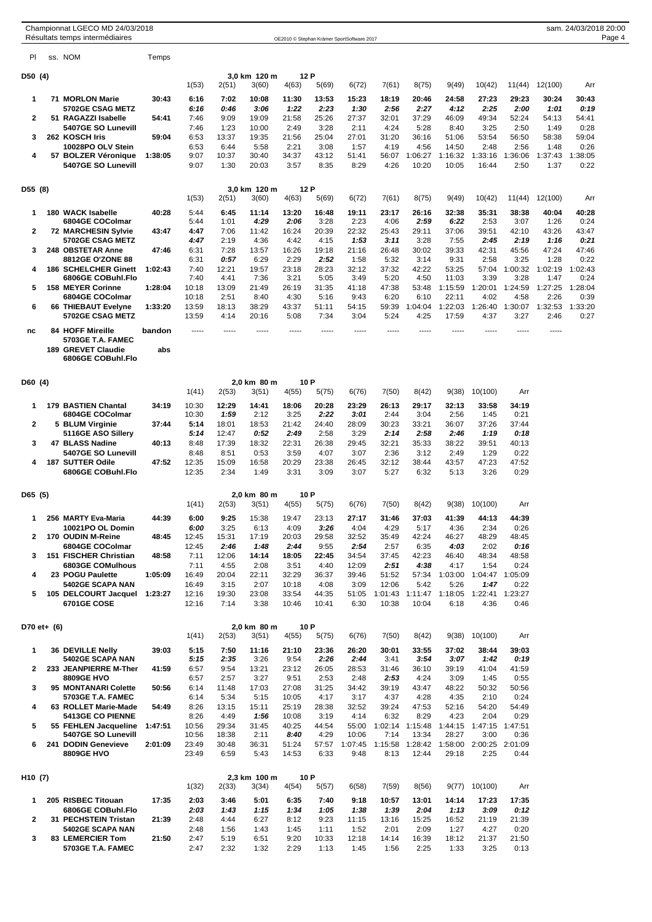|                     |  | Championnat LGECO MD 24/03/2018<br>Résultats temps intermédiaires |         |                |                |                       |                |                | OE2010 © Stephan Krämer SportSoftware 2017 |                 |                                 |                  |                         |                 |                  | sam. 24/03/2018 20:00 | Page 4 |
|---------------------|--|-------------------------------------------------------------------|---------|----------------|----------------|-----------------------|----------------|----------------|--------------------------------------------|-----------------|---------------------------------|------------------|-------------------------|-----------------|------------------|-----------------------|--------|
| PI                  |  | ss. NOM                                                           | Temps   |                |                |                       |                |                |                                            |                 |                                 |                  |                         |                 |                  |                       |        |
| D50 (4)             |  |                                                                   |         |                |                | 3.0 km 120 m          |                | 12 P           |                                            |                 |                                 |                  |                         |                 |                  |                       |        |
| $\mathbf 1$         |  | 71 MORLON Marie                                                   | 30:43   | 1(53)<br>6:16  | 2(51)<br>7:02  | 3(60)<br>10:08        | 4(63)<br>11:30 | 5(69)<br>13:53 | 6(72)<br>15:23                             | 7(61)<br>18:19  | 8(75)<br>20:46                  | 9(49)<br>24:58   | 10(42)<br>27:23         | 11(44)<br>29:23 | 12(100)<br>30:24 | Arr<br>30:43          |        |
|                     |  | <b>5702GE CSAG METZ</b>                                           |         | 6:16           | 0:46           | 3:06                  | 1:22           | 2:23           | 1:30                                       | 2:56            | 2:27                            | 4:12             | 2:25                    | 2:00            | 1:01             | 0:19                  |        |
| $\overline{2}$      |  | 51 RAGAZZI Isabelle<br>5407GE SO Lunevill                         | 54:41   | 7:46<br>7:46   | 9:09<br>1:23   | 19:09<br>10:00        | 21:58<br>2:49  | 25:26<br>3:28  | 27:37<br>2:11                              | 32:01<br>4:24   | 37:29<br>5:28                   | 46:09<br>8:40    | 49:34<br>3:25           | 52:24<br>2:50   | 54:13<br>1:49    | 54:41<br>0:28         |        |
| 3                   |  | 262 KOSCH Iris<br>10028PO OLV Stein                               | 59:04   | 6:53<br>6:53   | 13:37<br>6:44  | 19:35<br>5:58         | 21:56<br>2:21  | 25:04<br>3:08  | 27:01<br>1:57                              | 31:20<br>4:19   | 36:16<br>4:56                   | 51:06<br>14:50   | 53:54<br>2:48           | 56:50<br>2:56   | 58:38<br>1:48    | 59:04<br>0:26         |        |
| 4                   |  | 57 BOLZER Véronique                                               | 1:38:05 | 9:07           | 10:37          | 30:40                 | 34:37          | 43:12          | 51:41                                      | 56:07           | 1:06:27                         | 1:16:32          | 1:33:16                 | 1:36:06         | 1:37:43          | 1:38:05               |        |
|                     |  | 5407GE SO Lunevill                                                |         | 9:07           | 1:30           | 20:03                 | 3:57           | 8:35           | 8:29                                       | 4:26            | 10:20                           | 10:05            | 16:44                   | 2:50            | 1:37             | 0:22                  |        |
| D55 (8)             |  |                                                                   |         | 1(53)          | 2(51)          | 3,0 km 120 m<br>3(60) | 4(63)          | 12 P<br>5(69)  | 6(72)                                      | 7(61)           | 8(75)                           | 9(49)            | 10(42)                  | 11(44)          | 12(100)          | Arr                   |        |
| 1                   |  | 180 WACK Isabelle                                                 | 40:28   | 5:44           | 6:45           | 11:14                 | 13:20          | 16:48          | 19:11                                      | 23:17           | 26:16                           | 32:38            | 35:31                   | 38:38           | 40:04            | 40:28                 |        |
|                     |  | 6804GE COColmar                                                   |         | 5:44           | 1:01           | 4:29                  | 2:06           | 3:28           | 2:23                                       | 4:06            | 2:59                            | 6:22             | 2:53                    | 3:07            | 1:26             | 0:24                  |        |
| $\mathbf{2}$        |  | <b>72 MARCHESIN Sylvie</b><br><b>5702GE CSAG METZ</b>             | 43:47   | 4:47<br>4:47   | 7:06<br>2:19   | 11:42<br>4:36         | 16:24<br>4:42  | 20:39<br>4:15  | 22:32<br>1:53                              | 25:43<br>3:11   | 29:11<br>3:28                   | 37:06<br>7:55    | 39:51<br>2:45           | 42:10<br>2:19   | 43:26<br>1:16    | 43:47<br>0:21         |        |
| 3                   |  | 248 OBSTETAR Anne<br>8812GE O'ZONE 88                             | 47:46   | 6:31<br>6:31   | 7:28<br>0:57   | 13:57<br>6:29         | 16:26<br>2:29  | 19:18<br>2:52  | 21:16<br>1:58                              | 26:48<br>5:32   | 30:02<br>3:14                   | 39:33<br>9:31    | 42:31<br>2:58           | 45:56<br>3:25   | 47:24<br>1:28    | 47:46<br>0:22         |        |
| 4                   |  | <b>186 SCHELCHER Ginett</b><br>6806GE COBuhl.Flo                  | 1:02:43 | 7:40<br>7:40   | 12:21<br>4:41  | 19:57<br>7:36         | 23:18<br>3:21  | 28:23<br>5:05  | 32:12<br>3:49                              | 37:32<br>5:20   | 42:22<br>4:50                   | 53:25<br>11:03   | 57:04<br>3:39           | 1:00:32<br>3:28 | 1:02:19<br>1:47  | 1:02:43<br>0:24       |        |
| 5                   |  | <b>158 MEYER Corinne</b>                                          | 1:28:04 | 10:18          | 13:09          | 21:49                 | 26:19          | 31:35          | 41:18                                      | 47:38           | 53:48                           | 1:15:59          | 1:20:01                 | 1:24:59         | 1:27:25          | 1:28:04               |        |
| 6                   |  | 6804GE COColmar<br>66 THIEBAUT Evelyne                            | 1:33:20 | 10:18<br>13:59 | 2:51<br>18:13  | 8:40<br>38:29         | 4:30<br>43:37  | 5:16<br>51:11  | 9:43<br>54:15                              | 6:20<br>59:39   | 6:10<br>1:04:04                 | 22:11<br>1:22:03 | 4:02<br>1:26:40         | 4:58<br>1:30:07 | 2:26<br>1:32:53  | 0:39<br>1:33:20       |        |
|                     |  | <b>5702GE CSAG METZ</b>                                           |         | 13:59          | 4:14           | 20:16                 | 5:08           | 7:34           | 3:04                                       | 5:24            | 4:25                            | 17:59            | 4:37                    | 3:27            | 2:46             | 0:27                  |        |
| nc                  |  | <b>84 HOFF Mireille</b><br>5703GE T.A. FAMEC                      | bandon  | -----          | $- - - - -$    | -----                 | -----          | $- - - - -$    | -----                                      | -----           | $- - - - -$                     | -----            | -----                   | -----           | -----            |                       |        |
|                     |  | <b>189 GREVET Claudie</b><br>6806GE COBuhl.Flo                    | abs     |                |                |                       |                |                |                                            |                 |                                 |                  |                         |                 |                  |                       |        |
| D60 (4)             |  |                                                                   |         |                |                | 2,0 km 80 m           |                | 10 P           |                                            |                 |                                 |                  |                         |                 |                  |                       |        |
|                     |  |                                                                   |         | 1(41)          | 2(53)          | 3(51)                 | 4(55)          | 5(75)          | 6(76)                                      | 7(50)           | 8(42)                           | 9(38)            | 10(100)                 | Arr             |                  |                       |        |
| 1                   |  | <b>179 BASTIEN Chantal</b><br>6804GE COColmar                     | 34:19   | 10:30<br>10:30 | 12:29<br>1:59  | 14:41<br>2:12         | 18:06<br>3:25  | 20:28<br>2:22  | 23:29<br>3:01                              | 26:13<br>2:44   | 29:17<br>3:04                   | 32:13<br>2:56    | 33:58<br>1:45           | 34:19<br>0:21   |                  |                       |        |
| 2                   |  | 5 BLUM Virginie<br>5116GE ASO Sillery                             | 37:44   | 5:14<br>5:14   | 18:01<br>12:47 | 18:53<br>0:52         | 21:42<br>2:49  | 24:40<br>2:58  | 28:09<br>3:29                              | 30:23<br>2:14   | 33:21<br>2:58                   | 36:07<br>2:46    | 37:26<br>1:19           | 37:44<br>0:18   |                  |                       |        |
| 3                   |  | 47 BLASS Nadine                                                   | 40:13   | 8:48           | 17:39          | 18:32                 | 22:31          | 26:38          | 29:45                                      | 32:21           | 35:33                           | 38:22            | 39:51                   | 40:13           |                  |                       |        |
| 4                   |  | 5407GE SO Lunevill<br>187 SUTTER Odile                            | 47:52   | 8:48<br>12:35  | 8:51<br>15:09  | 0:53<br>16:58         | 3:59<br>20:29  | 4:07<br>23:38  | 3:07<br>26:45                              | 2:36<br>32:12   | 3:12<br>38:44                   | 2:49<br>43:57    | 1:29<br>47:23           | 0:22<br>47:52   |                  |                       |        |
|                     |  | 6806GE COBuhl.Flo                                                 |         | 12:35          | 2:34           | 1:49                  | 3:31           | 3:09           | 3:07                                       | 5:27            | 6:32                            | 5:13             | 3:26                    | 0:29            |                  |                       |        |
| D65 (5)             |  |                                                                   |         |                |                | 2,0 km 80 m           |                | 10 P           |                                            |                 |                                 |                  |                         |                 |                  |                       |        |
| $\mathbf 1$         |  | 256 MARTY Eva-Maria                                               | 44:39   | 1(41)<br>6:00  | 2(53)<br>9:25  | 3(51)<br>15:38        | 4(55)<br>19:47 | 5(75)<br>23:13 | 6(76)<br>27:17                             | 7(50)<br>31:46  | 8(42)<br>37:03                  | 9(38)<br>41:39   | 10(100)<br>44:13        | Arr<br>44:39    |                  |                       |        |
|                     |  | 10021PO OL Domin                                                  |         | 6:00           | 3:25           | 6:13                  | 4:09           | 3:26           | 4:04                                       | 4:29            | 5:17                            | 4:36             | 2:34                    | 0:26            |                  |                       |        |
| $\mathbf{2}$        |  | 170 OUDIN M-Reine<br>6804GE COColmar                              | 48:45   | 12:45<br>12:45 | 15:31<br>2:46  | 17:19<br>1:48         | 20:03<br>2:44  | 29:58<br>9:55  | 32:52<br>2:54                              | 35:49<br>2:57   | 42:24<br>6:35                   | 46:27<br>4:03    | 48:29<br>2:02           | 48:45<br>0:16   |                  |                       |        |
| 3                   |  | 151 FISCHER Christian<br>6803GE COMulhous                         | 48:58   | 7:11<br>7:11   | 12:06<br>4:55  | 14:14<br>2:08         | 18:05<br>3:51  | 22:45<br>4:40  | 34:54<br>12:09                             | 37:45<br>2:51   | 42:23<br>4:38                   | 46:40<br>4:17    | 48:34<br>1:54           | 48:58<br>0:24   |                  |                       |        |
| 4                   |  | 23 POGU Paulette                                                  | 1:05:09 | 16:49          | 20:04          | 22:11                 | 32:29          | 36:37          | 39:46                                      | 51:52           | 57:34                           | 1:03:00          |                         | 1:04:47 1:05:09 |                  |                       |        |
| 5                   |  | 5402GE SCAPA NAN<br>105 DELCOURT Jacquel 1:23:27                  |         | 16:49<br>12:16 | 3:15<br>19:30  | 2:07<br>23:08         | 10:18<br>33:54 | 4:08<br>44:35  | 3:09<br>51:05                              | 12:06           | 5:42<br>1:01:43 1:11:47 1:18:05 | 5:26             | 1:47<br>1:22:41 1:23:27 | 0:22            |                  |                       |        |
|                     |  | 6701GE COSE                                                       |         | 12:16          | 7:14           | 3:38                  | 10:46          | 10:41          | 6:30                                       | 10:38           | 10:04                           | 6:18             | 4:36                    | 0:46            |                  |                       |        |
| D70 et+ (6)         |  |                                                                   |         | 1(41)          | 2(53)          | 2,0 km 80 m<br>3(51)  | 4(55)          | 10 P<br>5(75)  | 6(76)                                      | 7(50)           | 8(42)                           | 9(38)            | 10(100)                 | Arr             |                  |                       |        |
| 1                   |  | <b>36 DEVILLE Nelly</b>                                           | 39:03   | 5:15           | 7:50           | 11:16                 | 21:10          | 23:36          | 26:20                                      | 30:01           | 33:55                           | 37:02            | 38:44                   | 39:03           |                  |                       |        |
| $\mathbf{2}$        |  | 5402GE SCAPA NAN<br>233 JEANPIERRE M-Ther                         | 41:59   | 5:15<br>6:57   | 2:35<br>9:54   | 3:26<br>13:21         | 9:54<br>23:12  | 2:26<br>26:05  | 2:44<br>28:53                              | 3:41<br>31:46   | 3:54<br>36:10                   | 3:07<br>39:19    | 1:42<br>41:04           | 0:19<br>41:59   |                  |                       |        |
|                     |  | 8809GE HVO                                                        |         | 6:57           | 2:57           | 3:27                  | 9:51           | 2:53           | 2:48                                       | 2:53            | 4:24                            | 3:09             | 1:45                    | 0:55            |                  |                       |        |
| 3                   |  | 95 MONTANARI Colette<br>5703GE T.A. FAMEC                         | 50:56   | 6:14<br>6:14   | 11:48<br>5:34  | 17:03<br>5:15         | 27:08<br>10:05 | 31:25<br>4:17  | 34:42<br>3:17                              | 39:19<br>4:37   | 43:47<br>4:28                   | 48:22<br>4:35    | 50:32<br>2:10           | 50:56<br>0:24   |                  |                       |        |
| 4                   |  | 63 ROLLET Marie-Made<br><b>5413GE CO PIENNE</b>                   | 54:49   | 8:26<br>8:26   | 13:15<br>4:49  | 15:11<br>1:56         | 25:19<br>10:08 | 28:38<br>3:19  | 32:52<br>4:14                              | 39:24<br>6:32   | 47:53<br>8:29                   | 52:16<br>4:23    | 54:20<br>2:04           | 54:49<br>0:29   |                  |                       |        |
| 5                   |  | 55 FEHLEN Jacqueline<br>5407GE SO Lunevill                        | 1:47:51 | 10:56<br>10:56 | 29:34<br>18:38 | 31:45<br>2:11         | 40:25<br>8:40  | 44:54<br>4:29  | 55:00<br>10:06                             | 1:02:14<br>7:14 | 1:15:48<br>13:34                | 1:44:15<br>28:27 | 1:47:15<br>3:00         | 1:47:51<br>0:36 |                  |                       |        |
| 6                   |  | 241 DODIN Genevieve<br><b>8809GE HVO</b>                          | 2:01:09 | 23:49<br>23:49 | 30:48<br>6:59  | 36:31<br>5:43         | 51:24<br>14:53 | 57:57<br>6:33  | 1:07:45<br>9:48                            | 1:15:58<br>8:13 | 1:28:42<br>12:44                | 1:58:00<br>29:18 | 2:00:25<br>2:25         | 2:01:09<br>0:44 |                  |                       |        |
|                     |  |                                                                   |         |                |                |                       |                |                |                                            |                 |                                 |                  |                         |                 |                  |                       |        |
| H <sub>10</sub> (7) |  |                                                                   |         | 1(32)          | 2(33)          | 2,3 km 100 m<br>3(34) | 4(54)          | 10 P<br>5(57)  | 6(58)                                      | 7(59)           | 8(56)                           | 9(77)            | 10(100)                 | Arr             |                  |                       |        |
| 1                   |  | 205 RISBEC Titouan                                                | 17:35   | 2:03           | 3:46           | 5:01                  | 6:35           | 7:40           | 9:18                                       | 10:57           | 13:01                           | 14:14            | 17:23                   | 17:35           |                  |                       |        |
| 2                   |  | 6806GE COBuhl.Flo<br>31 PECHSTEIN Tristan                         | 21:39   | 2:03<br>2:48   | 1:43<br>4:44   | 1:15<br>6:27          | 1:34<br>8:12   | 1:05<br>9:23   | 1:38<br>11:15                              | 1:39<br>13:16   | 2:04<br>15:25                   | 1:13<br>16:52    | 3:09<br>21:19           | 0:12<br>21:39   |                  |                       |        |
| 3                   |  | <b>5402GE SCAPA NAN</b><br>83 LEMERCIER Tom                       | 21:50   | 2:48<br>2:47   | 1:56<br>5:19   | 1:43<br>6:51          | 1:45<br>9:20   | 1:11<br>10:33  | 1:52<br>12:18                              | 2:01<br>14:14   | 2:09<br>16:39                   | 1:27<br>18:12    | 4:27<br>21:37           | 0:20<br>21:50   |                  |                       |        |
|                     |  | 5703GE T.A. FAMEC                                                 |         | 2:47           | 2:32           | 1:32                  | 2:29           | 1:13           | 1:45                                       | 1:56            | 2:25                            | 1:33             | 3:25                    | 0:13            |                  |                       |        |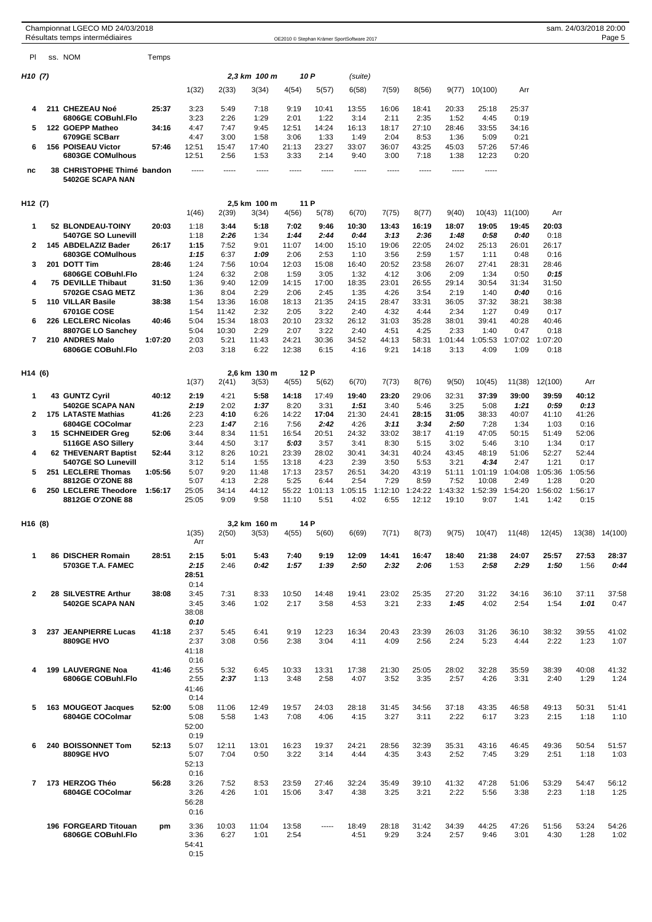|                     | Championnat LGECO MD 24/03/2018<br>Résultats temps intermédiaires |         |                       |                |                       |                |                 | OE2010 © Stephan Krämer SportSoftware 2017 |                 |                  |                  |                 |                 |                 | sam. 24/03/2018 20:00 | Page 5         |
|---------------------|-------------------------------------------------------------------|---------|-----------------------|----------------|-----------------------|----------------|-----------------|--------------------------------------------|-----------------|------------------|------------------|-----------------|-----------------|-----------------|-----------------------|----------------|
| PI                  | ss. NOM                                                           | Temps   |                       |                |                       |                |                 |                                            |                 |                  |                  |                 |                 |                 |                       |                |
| H <sub>10</sub> (7) |                                                                   |         |                       |                | 2,3 km 100 m          |                | 10 P            | (suite)                                    |                 |                  |                  |                 |                 |                 |                       |                |
|                     |                                                                   |         | 1(32)                 | 2(33)          | 3(34)                 | 4(54)          | 5(57)           | 6(58)                                      | 7(59)           | 8(56)            | 9(77)            | 10(100)         | Arr             |                 |                       |                |
| 4                   | 211 CHEZEAU Noé                                                   | 25:37   | 3:23                  | 5:49           | 7:18                  | 9:19           | 10:41           | 13:55                                      | 16:06           | 18:41            | 20:33            | 25:18           | 25:37           |                 |                       |                |
|                     | 6806GE COBuhl.Flo                                                 |         | 3:23                  | 2:26           | 1:29                  | 2:01           | 1:22            | 3:14                                       | 2:11            | 2:35             | 1:52             | 4:45            | 0:19            |                 |                       |                |
| 5                   | 122 GOEPP Matheo                                                  | 34:16   | 4:47                  | 7:47           | 9:45                  | 12:51          | 14:24           | 16:13                                      | 18:17           | 27:10            | 28:46            | 33:55           | 34:16           |                 |                       |                |
| 6                   | 6709GE SCBarr<br>156 POISEAU Victor                               | 57:46   | 4:47<br>12:51         | 3:00<br>15:47  | 1:58<br>17:40         | 3:06<br>21:13  | 1:33<br>23:27   | 1:49<br>33:07                              | 2:04<br>36:07   | 8:53<br>43:25    | 1:36<br>45:03    | 5:09<br>57:26   | 0:21<br>57:46   |                 |                       |                |
|                     | 6803GE COMulhous                                                  |         | 12:51                 | 2:56           | 1:53                  | 3:33           | 2:14            | 9:40                                       | 3:00            | 7:18             | 1:38             | 12:23           | 0:20            |                 |                       |                |
| nc                  | 38 CHRISTOPHE Thimé bandon<br>5402GE SCAPA NAN                    |         | -----                 | -----          | -----                 | -----          | -----           | -----                                      | -----           | -----            | -----            | -----           |                 |                 |                       |                |
| H <sub>12</sub> (7) |                                                                   |         |                       |                | 2,5 km 100 m          |                | 11 P            |                                            |                 |                  |                  |                 |                 |                 |                       |                |
|                     |                                                                   |         | 1(46)                 | 2(39)          | 3(34)                 | 4(56)          | 5(78)           | 6(70)                                      | 7(75)           | 8(77)            | 9(40)            |                 | 10(43) 11(100)  | Arr             |                       |                |
| 1                   | 52 BLONDEAU-TOINY                                                 | 20:03   | 1:18                  | 3:44           | 5:18                  | 7:02           | 9:46            | 10:30                                      | 13:43           | 16:19            | 18:07            | 19:05           | 19:45           | 20:03           |                       |                |
|                     | 5407GE SO Lunevill                                                |         | 1:18                  | 2:26           | 1:34                  | 1:44           | 2:44            | 0:44                                       | 3:13            | 2:36             | 1:48             | 0:58            | 0:40            | 0:18            |                       |                |
| $\mathbf{2}$        | 145 ABDELAZIZ Bader<br>6803GE COMulhous                           | 26:17   | 1:15<br>1:15          | 7:52<br>6:37   | 9:01<br>1:09          | 11:07<br>2:06  | 14:00<br>2:53   | 15:10<br>1:10                              | 19:06<br>3:56   | 22:05<br>2:59    | 24:02<br>1:57    | 25:13<br>1:11   | 26:01<br>0:48   | 26:17<br>0:16   |                       |                |
| 3                   | 201 DOTT Tim                                                      | 28:46   | 1:24                  | 7:56           | 10:04                 | 12:03          | 15:08           | 16:40                                      | 20:52           | 23:58            | 26:07            | 27:41           | 28:31           | 28:46           |                       |                |
| 4                   | 6806GE COBuhl.Flo<br>75 DEVILLE Thibaut                           | 31:50   | 1:24<br>1:36          | 6:32<br>9:40   | 2:08<br>12:09         | 1:59<br>14:15  | 3:05<br>17:00   | 1:32<br>18:35                              | 4:12            | 3:06             | 2:09<br>29:14    | 1:34<br>30:54   | 0:50            | 0:15<br>31:50   |                       |                |
|                     | 5702GE CSAG METZ                                                  |         | 1:36                  | 8:04           | 2:29                  | 2:06           | 2:45            | 1:35                                       | 23:01<br>4:26   | 26:55<br>3:54    | 2:19             | 1:40            | 31:34<br>0:40   | 0:16            |                       |                |
| 5                   | 110 VILLAR Basile                                                 | 38:38   | 1:54                  | 13:36          | 16:08                 | 18:13          | 21:35           | 24:15                                      | 28:47           | 33:31            | 36:05            | 37:32           | 38:21           | 38:38           |                       |                |
| 6                   | 6701GE COSE<br>226 LECLERC Nicolas                                | 40:46   | 1:54<br>5:04          | 11:42<br>15:34 | 2:32<br>18:03         | 2:05<br>20:10  | 3:22<br>23:32   | 2:40<br>26:12                              | 4:32<br>31:03   | 4:44<br>35:28    | 2:34<br>38:01    | 1:27<br>39:41   | 0:49<br>40:28   | 0:17<br>40:46   |                       |                |
|                     | 8807GE LO Sanchey                                                 |         | 5:04                  | 10:30          | 2:29                  | 2:07           | 3:22            | 2:40                                       | 4:51            | 4:25             | 2:33             | 1:40            | 0:47            | 0:18            |                       |                |
| $\overline{7}$      | 210 ANDRES Malo                                                   | 1:07:20 | 2:03                  | 5:21           | 11:43                 | 24:21          | 30:36           | 34:52                                      | 44:13           | 58:31            | 1:01:44          | 1:05:53         | 1:07:02         | 1:07:20         |                       |                |
|                     | 6806GE COBuhl.Flo                                                 |         | 2:03                  | 3:18           | 6:22                  | 12:38          | 6:15            | 4:16                                       | 9:21            | 14:18            | 3:13             | 4:09            | 1:09            | 0:18            |                       |                |
| H14 (6)             |                                                                   |         | 1(37)                 | 2(41)          | 2.6 km 130 m<br>3(53) | 4(55)          | 12 P<br>5(62)   | 6(70)                                      | 7(73)           | 8(76)            | 9(50)            | 10(45)          | 11(38)          | 12(100)         | Arr                   |                |
| 1                   | 43 GUNTZ Cyril                                                    | 40:12   | 2:19                  | 4:21           | 5:58                  | 14:18          | 17:49           | 19:40                                      | 23:20           | 29:06            | 32:31            | 37:39           | 39:00           | 39:59           | 40:12                 |                |
|                     | 5402GE SCAPA NAN                                                  |         | 2:19                  | 2:02           | 1:37                  | 8:20           | 3:31            | 1:51                                       | 3:40            | 5:46             | 3:25             | 5:08            | 1:21            | 0:59            | 0:13                  |                |
| $\mathbf{2}$        | <b>175 LATASTE Mathias</b>                                        | 41:26   | 2:23                  | 4:10           | 6:26                  | 14:22          | 17:04           | 21:30                                      | 24:41           | 28:15            | 31:05            | 38:33           | 40:07           | 41:10           | 41:26                 |                |
| 3                   | 6804GE COColmar<br>15 SCHNEIDER Greg                              | 52:06   | 2:23<br>3:44          | 1:47<br>8:34   | 2:16<br>11:51         | 7:56<br>16:54  | 2:42<br>20:51   | 4:26<br>24:32                              | 3:11<br>33:02   | 3:34<br>38:17    | 2:50<br>41:19    | 7:28<br>47:05   | 1:34<br>50:15   | 1:03<br>51:49   | 0:16<br>52:06         |                |
|                     | 5116GE ASO Sillery                                                |         | 3:44                  | 4:50           | 3:17                  | 5:03           | 3:57            | 3:41                                       | 8:30            | 5:15             | 3:02             | 5:46            | 3:10            | 1:34            | 0:17                  |                |
| 4                   | 62 THEVENART Baptist                                              | 52:44   | 3:12                  | 8:26           | 10:21                 | 23:39          | 28:02           | 30:41                                      | 34:31           | 40:24            | 43:45            | 48:19           | 51:06           | 52:27           | 52:44                 |                |
| 5                   | 5407GE SO Lunevill<br>251 LECLERE Thomas                          | 1:05:56 | 3:12<br>5:07          | 5:14<br>9:20   | 1:55<br>11:48         | 13:18<br>17:13 | 4:23<br>23:57   | 2:39<br>26:51                              | 3:50<br>34:20   | 5:53<br>43:19    | 3:21<br>51:11    | 4:34<br>1:01:19 | 2:47<br>1:04:08 | 1:21<br>1:05:36 | 0:17<br>1:05:56       |                |
|                     | 8812GE O'ZONE 88                                                  |         | 5:07                  | 4:13           | 2:28                  | 5:25           | 6:44            | 2:54                                       | 7:29            | 8:59             | 7:52             | 10:08           | 2:49            | 1:28            | 0:20                  |                |
| 6                   | 250 LECLERE Theodore<br>8812GE O'ZONE 88                          | 1:56:17 | 25:05<br>25:05        | 34:14<br>9:09  | 44:12<br>9:58         | 55:22<br>11:10 | 1:01:13<br>5:51 | 1:05:15<br>4:02                            | 1:12:10<br>6:55 | 1:24:22<br>12:12 | 1:43:32<br>19:10 | 1:52:39<br>9:07 | 1:54:20<br>1:41 | 1:56:02<br>1:42 | 1:56:17<br>0:15       |                |
| H <sub>16</sub> (8) |                                                                   |         |                       |                | 3,2 km 160 m          |                | 14 P            |                                            |                 |                  |                  |                 |                 |                 |                       |                |
|                     |                                                                   |         | 1(35)<br>Arr          | 2(50)          | 3(53)                 | 4(55)          | 5(60)           | 6(69)                                      | 7(71)           | 8(73)            | 9(75)            | 10(47)          | 11(48)          | 12(45)          |                       | 13(38) 14(100) |
| 1                   | 86 DISCHER Romain<br><b>5703GE T.A. FAMEC</b>                     | 28:51   | 2:15<br>2:15          | 5:01<br>2:46   | 5:43<br>0:42          | 7:40<br>1:57   | 9:19<br>1:39    | 12:09<br>2:50                              | 14:41<br>2:32   | 16:47<br>2:06    | 18:40<br>1:53    | 21:38<br>2:58   | 24:07<br>2:29   | 25:57<br>1:50   | 27:53<br>1:56         | 28:37<br>0:44  |
|                     |                                                                   |         | 28:51<br>0:14         |                |                       |                |                 |                                            |                 |                  |                  |                 |                 |                 |                       |                |
| 2                   | 28 SILVESTRE Arthur                                               | 38:08   | 3:45                  | 7:31           | 8:33                  | 10:50          | 14:48           | 19:41                                      | 23:02           | 25:35            | 27:20            | 31:22           | 34:16           | 36:10           | 37:11                 | 37:58          |
|                     | 5402GE SCAPA NAN                                                  |         | 3:45<br>38:08<br>0:10 | 3:46           | 1:02                  | 2:17           | 3:58            | 4:53                                       | 3:21            | 2:33             | 1:45             | 4:02            | 2:54            | 1:54            | 1:01                  | 0:47           |
| 3                   | 237 JEANPIERRE Lucas                                              | 41:18   | 2:37                  | 5:45           | 6:41                  | 9:19           | 12:23           | 16:34                                      | 20:43           | 23:39            | 26:03            | 31:26           | 36:10           | 38:32           | 39:55                 | 41:02          |
|                     | 8809GE HVO                                                        |         | 2:37<br>41:18<br>0:16 | 3:08           | 0:56                  | 2:38           | 3:04            | 4:11                                       | 4:09            | 2:56             | 2:24             | 5:23            | 4:44            | 2:22            | 1:23                  | 1:07           |
| 4                   | <b>199 LAUVERGNE Noa</b>                                          | 41:46   | 2:55                  | 5:32           | 6:45                  | 10:33          | 13:31           | 17:38                                      | 21:30           | 25:05            | 28:02            | 32:28           | 35:59           | 38:39           | 40:08                 | 41:32          |
|                     | 6806GE COBuhl.Flo                                                 |         | 2:55<br>41:46<br>0:14 | 2:37           | 1:13                  | 3:48           | 2:58            | 4:07                                       | 3:52            | 3:35             | 2:57             | 4:26            | 3:31            | 2:40            | 1:29                  | 1:24           |
| 5                   | 163 MOUGEOT Jacques                                               | 52:00   | 5:08                  | 11:06          | 12:49                 | 19:57          | 24:03           | 28:18                                      | 31:45           | 34:56            | 37:18            | 43:35           | 46:58           | 49:13           | 50:31                 | 51:41          |
|                     | 6804GE COColmar                                                   |         | 5:08<br>52:00         | 5:58           | 1:43                  | 7:08           | 4:06            | 4:15                                       | 3:27            | 3:11             | 2:22             | 6:17            | 3:23            | 2:15            | 1:18                  | 1:10           |
|                     |                                                                   |         | 0:19                  |                |                       |                |                 |                                            |                 |                  |                  |                 |                 |                 |                       |                |
| 6                   | 240 BOISSONNET Tom<br>8809GE HVO                                  | 52:13   | 5:07<br>5:07<br>52:13 | 12:11<br>7:04  | 13:01<br>0:50         | 16:23<br>3:22  | 19:37<br>3:14   | 24:21<br>4:44                              | 28:56<br>4:35   | 32:39<br>3:43    | 35:31<br>2:52    | 43:16<br>7:45   | 46:45<br>3:29   | 49:36<br>2:51   | 50:54<br>1:18         | 51:57<br>1:03  |
| $\overline{7}$      | 173 HERZOG Théo                                                   | 56:28   | 0:16<br>3:26          | 7:52           | 8:53                  | 23:59          | 27:46           | 32:24                                      | 35:49           | 39:10            | 41:32            | 47:28           | 51:06           | 53:29           | 54:47                 | 56:12          |
|                     | 6804GE COColmar                                                   |         | 3:26<br>56:28<br>0:16 | 4:26           | 1:01                  | 15:06          | 3:47            | 4:38                                       | 3:25            | 3:21             | 2:22             | 5:56            | 3:38            | 2:23            | 1:18                  | 1:25           |
|                     | 196 FORGEARD Titouan                                              | pm      | 3:36                  | 10:03          | 11:04                 | 13:58          | -----           | 18:49                                      | 28:18           | 31:42            | 34:39            | 44:25           | 47:26           | 51:56           | 53:24                 | 54:26          |
|                     | 6806GE COBuhl.Flo                                                 |         | 3:36<br>54:41<br>0:15 | 6:27           | 1:01                  | 2:54           |                 | 4:51                                       | 9:29            | 3:24             | 2:57             | 9:46            | 3:01            | 4:30            | 1:28                  | 1:02           |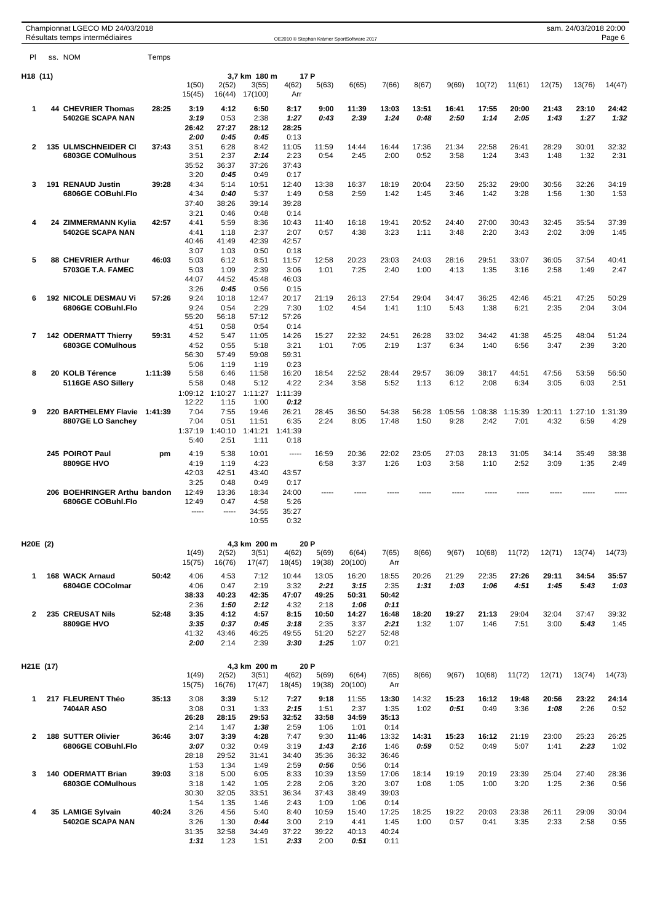|              |           | Championnat LGECO MD 24/03/2018<br>Résultats temps intermédiaires |         |                         |                         |                          |                         |               | OE2010 © Stephan Krämer SportSoftware 2017 |               |               |               |               |               |               | sam. 24/03/2018 20:00 | Page 6        |
|--------------|-----------|-------------------------------------------------------------------|---------|-------------------------|-------------------------|--------------------------|-------------------------|---------------|--------------------------------------------|---------------|---------------|---------------|---------------|---------------|---------------|-----------------------|---------------|
| PI           |           | ss. NOM                                                           | Temps   |                         |                         |                          |                         |               |                                            |               |               |               |               |               |               |                       |               |
| H18 (11)     |           |                                                                   |         |                         |                         | 3,7 km 180 m             | 17 P                    |               |                                            |               |               |               |               |               |               |                       |               |
|              |           |                                                                   |         | 1(50)<br>15(45)         | 2(52)<br>16(44)         | 3(55)<br>17(100)         | 4(62)<br>Arr            | 5(63)         | 6(65)                                      | 7(66)         | 8(67)         | 9(69)         | 10(72)        | 11(61)        | 12(75)        | 13(76)                | 14(47)        |
| 1            |           | <b>44 CHEVRIER Thomas</b>                                         | 28:25   | 3:19                    | 4:12                    | 6:50                     | 8:17                    | 9:00          | 11:39                                      | 13:03         | 13:51         | 16:41         | 17:55         | 20:00         | 21:43         | 23:10                 | 24:42         |
|              |           | 5402GE SCAPA NAN                                                  |         | 3:19<br>26:42           | 0:53<br>27:27           | 2:38<br>28:12            | 1:27<br>28:25           | 0:43          | 2:39                                       | 1:24          | 0:48          | 2:50          | 1:14          | 2:05          | 1:43          | 1:27                  | 1:32          |
|              |           |                                                                   |         | 2:00                    | 0:45                    | 0.45                     | 0:13                    |               |                                            |               |               |               |               |               |               |                       |               |
| 2            |           | <b>135 ULMSCHNEIDER CI</b><br>6803GE COMulhous                    | 37:43   | 3:51<br>3:51            | 6:28<br>2:37            | 8:42<br>2:14             | 11:05<br>2:23           | 11:59<br>0:54 | 14:44<br>2:45                              | 16:44<br>2:00 | 17:36<br>0:52 | 21:34<br>3:58 | 22:58<br>1:24 | 26:41<br>3:43 | 28:29<br>1:48 | 30:01<br>1:32         | 32:32<br>2:31 |
|              |           |                                                                   |         | 35:52<br>3:20           | 36:37<br>0:45           | 37:26<br>0:49            | 37:43<br>0:17           |               |                                            |               |               |               |               |               |               |                       |               |
| 3            |           | 191 RENAUD Justin                                                 | 39:28   | 4:34                    | 5:14                    | 10:51                    | 12:40                   | 13:38         | 16:37                                      | 18:19         | 20:04         | 23:50         | 25:32         | 29:00         | 30:56         | 32:26                 | 34:19         |
|              |           | 6806GE COBuhl.Flo                                                 |         | 4:34<br>37:40           | 0:40<br>38:26           | 5:37<br>39:14            | 1:49<br>39:28           | 0:58          | 2:59                                       | 1:42          | 1:45          | 3:46          | 1:42          | 3:28          | 1:56          | 1:30                  | 1:53          |
|              |           |                                                                   |         | 3:21                    | 0:46                    | 0:48                     | 0:14                    |               |                                            |               |               |               |               |               |               |                       |               |
| 4            |           | 24 ZIMMERMANN Kylia<br>5402GE SCAPA NAN                           | 42:57   | 4:41<br>4:41            | 5:59<br>1:18            | 8:36<br>2:37             | 10:43<br>2:07           | 11:40<br>0:57 | 16:18<br>4:38                              | 19:41<br>3:23 | 20:52<br>1:11 | 24:40<br>3:48 | 27:00<br>2:20 | 30:43<br>3:43 | 32:45<br>2:02 | 35:54<br>3:09         | 37:39<br>1:45 |
|              |           |                                                                   |         | 40:46                   | 41:49                   | 42:39                    | 42:57                   |               |                                            |               |               |               |               |               |               |                       |               |
| 5            |           | <b>88 CHEVRIER Arthur</b>                                         | 46:03   | 3:07<br>5:03            | 1:03<br>6:12            | 0:50<br>8:51             | 0:18<br>11:57           | 12:58         | 20:23                                      | 23:03         | 24:03         | 28:16         | 29:51         | 33:07         | 36:05         | 37:54                 | 40:41         |
|              |           | 5703GE T.A. FAMEC                                                 |         | 5:03                    | 1:09                    | 2:39                     | 3:06                    | 1:01          | 7:25                                       | 2:40          | 1:00          | 4:13          | 1:35          | 3:16          | 2:58          | 1:49                  | 2:47          |
|              |           |                                                                   |         | 44:07                   | 44:52                   | 45:48                    | 46:03                   |               |                                            |               |               |               |               |               |               |                       |               |
| 6            |           | <b>192 NICOLE DESMAU Vi</b>                                       | 57.26   | 3:26<br>9:24            | 0:45<br>10:18           | 0:56<br>12:47            | 0:15<br>20:17           | 21:19         | 26:13                                      | 27:54         | 29:04         | 34:47         | 36:25         | 42:46         | 45:21         | 47:25                 | 50:29         |
|              |           | 6806GE COBuhl.Flo                                                 |         | 9:24<br>55:20           | 0:54                    | 2:29                     | 7:30<br>57:26           | 1:02          | 4:54                                       | 1:41          | 1:10          | 5:43          | 1:38          | 6:21          | 2:35          | 2:04                  | 3:04          |
|              |           |                                                                   |         | 4:51                    | 56:18<br>0:58           | 57:12<br>0:54            | 0:14                    |               |                                            |               |               |               |               |               |               |                       |               |
| 7            |           | <b>142 ODERMATT Thierry</b>                                       | 59:31   | 4:52                    | 5:47                    | 11:05                    | 14:26                   | 15:27         | 22:32                                      | 24:51         | 26:28         | 33:02         | 34:42         | 41:38         | 45:25         | 48:04                 | 51:24         |
|              |           | 6803GE COMulhous                                                  |         | 4:52<br>56:30           | 0:55<br>57:49           | 5:18<br>59:08            | 3:21<br>59:31           | 1:01          | 7:05                                       | 2:19          | 1:37          | 6:34          | 1:40          | 6:56          | 3:47          | 2:39                  | 3:20          |
|              |           |                                                                   |         | 5:06                    | 1:19                    | 1:19                     | 0:23                    |               |                                            |               |               |               |               |               |               |                       |               |
| 8            |           | 20 KOLB Térence<br>5116GE ASO Sillery                             | 1:11:39 | 5:58<br>5:58            | 6:46<br>0:48            | 11:58<br>5:12            | 16:20<br>4:22           | 18:54<br>2:34 | 22:52<br>3:58                              | 28:44<br>5:52 | 29:57<br>1:13 | 36:09<br>6:12 | 38:17<br>2:08 | 44:51<br>6:34 | 47:56<br>3:05 | 53:59<br>6:03         | 56:50<br>2:51 |
|              |           |                                                                   |         | 1:09:12                 | 1:10:27                 | 1:11:27                  | 1:11:39                 |               |                                            |               |               |               |               |               |               |                       |               |
| 9            |           | 220 BARTHELEMY Flavie                                             | 1:41:39 | 12:22<br>7:04           | 1:15<br>7:55            | 1:00<br>19:46            | 0:12<br>26:21           | 28:45         | 36:50                                      | 54:38         | 56:28         | 1:05:56       | 1:08:38       | 1:15:39       | 1:20:11       | 1:27:10               | 1:31:39       |
|              |           | 8807GE LO Sanchey                                                 |         | 7:04<br>1:37:19<br>5:40 | 0:51<br>1:40:10<br>2:51 | 11:51<br>1:41:21<br>1:11 | 6:35<br>1:41:39<br>0:18 | 2:24          | 8:05                                       | 17:48         | 1:50          | 9:28          | 2:42          | 7:01          | 4:32          | 6:59                  | 4:29          |
|              |           | 245 POIROT Paul                                                   | pm      | 4:19                    | 5:38                    | 10:01                    | -----                   | 16:59         | 20:36                                      | 22:02         | 23:05         | 27:03         | 28:13         | 31:05         | 34:14         | 35:49                 | 38:38         |
|              |           | 8809GE HVO                                                        |         | 4:19<br>42:03           | 1:19<br>42:51           | 4:23<br>43:40            | 43:57                   | 6:58          | 3:37                                       | 1:26          | 1:03          | 3:58          | 1:10          | 2:52          | 3:09          | 1:35                  | 2:49          |
|              |           |                                                                   |         | 3:25                    | 0:48                    | 0:49                     | 0:17                    |               |                                            |               |               |               |               |               |               |                       |               |
|              |           | 206 BOEHRINGER Arthu bandon                                       |         | 12:49                   | 13:36                   | 18:34                    | 24:00                   |               |                                            |               |               |               |               |               |               |                       |               |
|              |           | 6806GE COBuhl.Flo                                                 |         | 12:49<br>$- - - - -$    | 0:47<br>$- - - - -$     | 4:58<br>34:55            | 5:26<br>35:27           |               |                                            |               |               |               |               |               |               |                       |               |
|              |           |                                                                   |         |                         |                         | 10:55                    | 0:32                    |               |                                            |               |               |               |               |               |               |                       |               |
| H20E (2)     |           |                                                                   |         | 1(49)                   | 2(52)                   | 4,3 km 200 m<br>3(51)    | 20 P<br>4(62)           | 5(69)         | 6(64)                                      | 7(65)         | 8(66)         | 9(67)         | 10(68)        | 11(72)        | 12(71)        | 13(74)                | 14(73)        |
|              |           |                                                                   |         | 15(75)                  | 16(76)                  | 17(47)                   | 18(45)                  | 19(38)        | 20(100)                                    | Arr           |               |               |               |               |               |                       |               |
| 1            |           | <b>168 WACK Arnaud</b>                                            | 50:42   | 4:06                    | 4:53                    | 7:12                     | 10:44                   | 13:05         | 16:20                                      | 18:55         | 20:26         | 21:29         | 22:35         | 27:26         | 29:11         | 34:54                 | 35:57         |
|              |           | 6804GE COColmar                                                   |         | 4:06<br>38:33           | 0:47<br>40:23           | 2:19<br>42:35            | 3:32<br>47:07           | 2:21<br>49:25 | 3:15<br>50:31                              | 2:35<br>50:42 | 1:31          | 1:03          | 1:06          | 4:51          | 1:45          | 5:43                  | 1:03          |
|              |           |                                                                   |         | 2:36                    | 1:50                    | 2:12                     | 4:32                    | 2:18          | 1:06                                       | 0:11          |               |               |               |               |               |                       |               |
| $\mathbf{2}$ |           | 235 CREUSAT Nils<br>8809GE HVO                                    | 52:48   | 3:35<br>3:35            | 4:12<br>0:37            | 4:57<br>0:45             | 8:15<br>3:18            | 10:50<br>2:35 | 14:27<br>3:37                              | 16:48<br>2:21 | 18:20<br>1:32 | 19:27<br>1:07 | 21:13<br>1:46 | 29:04<br>7:51 | 32:04<br>3:00 | 37:47<br>5:43         | 39:32<br>1:45 |
|              |           |                                                                   |         | 41:32<br>2:00           | 43:46<br>2:14           | 46:25<br>2:39            | 49:55<br>3:30           | 51:20<br>1:25 | 52:27<br>1:07                              | 52:48<br>0:21 |               |               |               |               |               |                       |               |
|              | H21E (17) |                                                                   |         |                         |                         | 4,3 km 200 m             | 20 P                    |               |                                            |               |               |               |               |               |               |                       |               |
|              |           |                                                                   |         | 1(49)                   | 2(52)                   | 3(51)                    | 4(62)                   | 5(69)         | 6(64)                                      | 7(65)         | 8(66)         | 9(67)         | 10(68)        | 11(72)        | 12(71)        | 13(74)                | 14(73)        |
|              |           |                                                                   |         | 15(75)                  | 16(76)                  | 17(47)                   | 18(45)                  | 19(38)        | 20(100)                                    | Arr           |               |               |               |               |               |                       |               |
| 1            |           | 217 FLEURENT Théo<br>7404AR ASO                                   | 35:13   | 3:08<br>3:08            | 3:39<br>0:31            | 5:12<br>1:33             | 7:27<br>2:15            | 9:18<br>1:51  | 11:55<br>2:37                              | 13:30<br>1:35 | 14:32<br>1:02 | 15:23<br>0:51 | 16:12<br>0:49 | 19:48<br>3:36 | 20:56<br>1:08 | 23:22<br>2:26         | 24:14<br>0:52 |
|              |           |                                                                   |         | 26:28                   | 28:15                   | 29:53                    | 32:52                   | 33:58         | 34:59                                      | 35:13         |               |               |               |               |               |                       |               |
| $\mathbf{2}$ |           | 188 SUTTER Olivier                                                | 36:46   | 2:14<br>3:07            | 1:47<br>3:39            | 1:38<br>4:28             | 2:59<br>7:47            | 1:06<br>9:30  | 1:01<br>11:46                              | 0:14<br>13:32 | 14:31         | 15:23         | 16:12         | 21:19         | 23:00         | 25:23                 | 26:25         |
|              |           | 6806GE COBuhl.Flo                                                 |         | 3:07                    | 0:32                    | 0:49                     | 3:19                    | 1:43          | 2:16                                       | 1:46          | 0:59          | 0:52          | 0:49          | 5:07          | 1:41          | 2:23                  | 1:02          |
|              |           |                                                                   |         | 28:18<br>1:53           | 29:52<br>1:34           | 31:41<br>1:49            | 34:40<br>2:59           | 35:36<br>0:56 | 36:32<br>0:56                              | 36:46<br>0:14 |               |               |               |               |               |                       |               |
| 3            |           | 140 ODERMATT Brian                                                | 39:03   | 3:18                    | 5:00                    | 6:05                     | 8:33                    | 10:39         | 13:59                                      | 17:06         | 18:14         | 19:19         | 20:19         | 23:39         | 25:04         | 27:40                 | 28:36         |
|              |           | <b>6803GE COMulhous</b>                                           |         | 3:18<br>30:30           | 1:42<br>32:05           | 1:05<br>33:51            | 2:28<br>36:34           | 2:06<br>37:43 | 3:20<br>38:49                              | 3:07<br>39:03 | 1:08          | 1:05          | 1:00          | 3:20          | 1:25          | 2:36                  | 0:56          |
|              |           |                                                                   |         | 1:54                    | 1:35                    | 1:46                     | 2:43                    | 1:09          | 1:06                                       | 0:14          |               |               |               |               |               |                       |               |
| 4            |           | 35 LAMIGE Sylvain<br>5402GE SCAPA NAN                             | 40:24   | 3:26<br>3:26            | 4:56<br>1:30            | 5:40<br>0:44             | 8:40<br>3:00            | 10:59<br>2:19 | 15:40<br>4:41                              | 17:25<br>1:45 | 18:25<br>1:00 | 19:22<br>0:57 | 20:03<br>0:41 | 23:38<br>3:35 | 26:11<br>2:33 | 29:09<br>2:58         | 30:04<br>0:55 |
|              |           |                                                                   |         | 31:35                   | 32:58                   | 34:49                    | 37:22                   | 39:22         | 40:13                                      | 40:24         |               |               |               |               |               |                       |               |
|              |           |                                                                   |         | 1:31                    | 1:23                    | 1:51                     | 2:33                    | 2:00          | 0:51                                       | 0:11          |               |               |               |               |               |                       |               |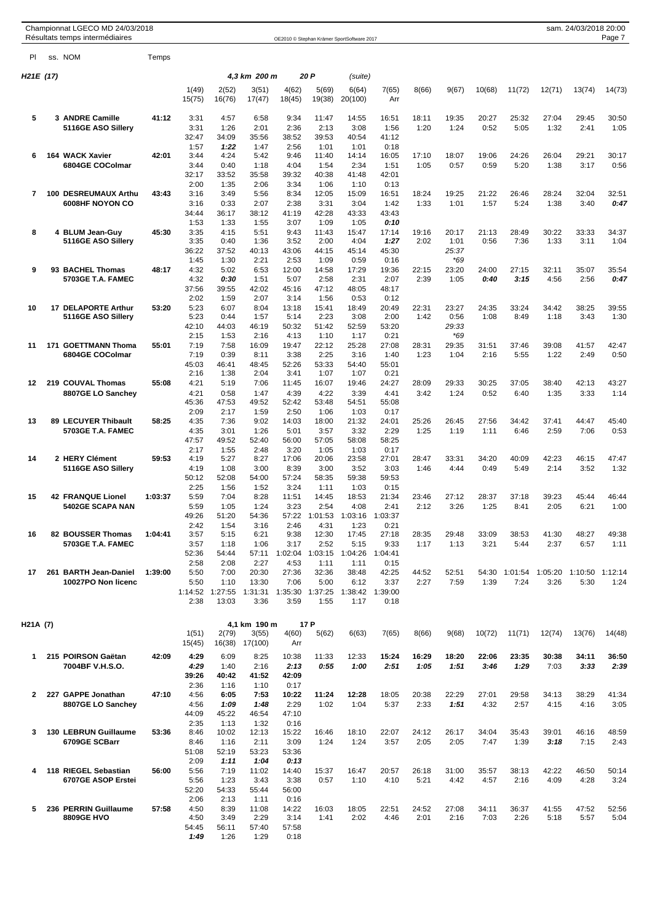|           | Championnat LGECO MD 24/03/2018<br>Résultats temps intermédiaires |         |                 |                 |                       |                 |                 | OE2010 © Stephan Krämer SportSoftware 2017 |                 |               |               |               |               |               | sam. 24/03/2018 20:00 | Page 7        |
|-----------|-------------------------------------------------------------------|---------|-----------------|-----------------|-----------------------|-----------------|-----------------|--------------------------------------------|-----------------|---------------|---------------|---------------|---------------|---------------|-----------------------|---------------|
| PI.       | ss. NOM                                                           | Temps   |                 |                 |                       |                 |                 |                                            |                 |               |               |               |               |               |                       |               |
| H21E (17) |                                                                   |         |                 |                 | 4,3 km 200 m          |                 | 20 P            | (suite)                                    |                 |               |               |               |               |               |                       |               |
|           |                                                                   |         | 1(49)<br>15(75) | 2(52)<br>16(76) | 3(51)<br>17(47)       | 4(62)<br>18(45) | 5(69)<br>19(38) | 6(64)<br>20(100)                           | 7(65)<br>Arr    | 8(66)         | 9(67)         | 10(68)        | 11(72)        | 12(71)        | 13(74)                | 14(73)        |
| 5         | 3 ANDRE Camille                                                   | 41:12   | 3:31            | 4:57            | 6:58                  | 9:34            | 11:47           | 14:55                                      | 16:51           | 18:11         | 19:35         | 20:27         | 25:32         | 27:04         | 29:45                 | 30:50         |
|           | 5116GE ASO Sillery                                                |         | 3:31            | 1:26            | 2:01                  | 2:36            | 2:13            | 3:08                                       | 1:56            | 1:20          | 1:24          | 0:52          | 5:05          | 1:32          | 2:41                  | 1:05          |
|           |                                                                   |         | 32:47<br>1:57   | 34:09<br>1:22   | 35:56<br>1:47         | 38:52<br>2:56   | 39:53<br>1:01   | 40:54<br>1:01                              | 41:12<br>0:18   |               |               |               |               |               |                       |               |
| 6         | 164 WACK Xavier                                                   | 42:01   | 3:44            | 4:24            | 5:42                  | 9:46            | 11:40           | 14:14                                      | 16:05           | 17:10         | 18:07         | 19:06         | 24:26         | 26:04         | 29:21                 | 30:17         |
|           | 6804GE COColmar                                                   |         | 3:44            | 0:40            | 1:18                  | 4:04            | 1:54            | 2:34                                       | 1:51            | 1:05          | 0:57          | 0:59          | 5:20          | 1:38          | 3:17                  | 0:56          |
|           |                                                                   |         | 32:17           | 33:52           | 35:58                 | 39:32           | 40:38           | 41:48                                      | 42:01           |               |               |               |               |               |                       |               |
| 7         | 100 DESREUMAUX Arthu                                              | 43:43   | 2:00<br>3:16    | 1:35<br>3:49    | 2:06<br>5:56          | 3:34<br>8:34    | 1:06<br>12:05   | 1:10<br>15:09                              | 0:13<br>16:51   | 18:24         | 19:25         | 21:22         | 26:46         | 28:24         | 32:04                 | 32:51         |
|           | 6008HF NOYON CO                                                   |         | 3:16            | 0:33            | 2:07                  | 2:38            | 3:31            | 3:04                                       | 1:42            | 1:33          | 1:01          | 1:57          | 5:24          | 1:38          | 3:40                  | 0:47          |
|           |                                                                   |         | 34:44           | 36:17           | 38:12                 | 41:19           | 42:28           | 43:33                                      | 43:43           |               |               |               |               |               |                       |               |
|           |                                                                   |         | 1:53            | 1:33            | 1:55                  | 3:07            | 1:09            | 1:05                                       | 0:10            |               |               |               |               |               |                       |               |
| 8         | 4 BLUM Jean-Guy<br>5116GE ASO Sillery                             | 45:30   | 3:35<br>3:35    | 4:15<br>0:40    | 5:51<br>1:36          | 9:43<br>3:52    | 11:43<br>2:00   | 15:47<br>4:04                              | 17:14<br>1:27   | 19:16<br>2:02 | 20:17<br>1:01 | 21:13<br>0:56 | 28:49<br>7:36 | 30:22<br>1:33 | 33:33<br>3:11         | 34:37<br>1:04 |
|           |                                                                   |         | 36:22           | 37:52           | 40:13                 | 43:06           | 44:15           | 45:14                                      | 45:30           |               | 25:37         |               |               |               |                       |               |
|           |                                                                   |         | 1:45            | 1:30            | 2:21                  | 2:53            | 1:09            | 0:59                                       | 0:16            |               | $*69$         |               |               |               |                       |               |
| 9         | 93 BACHEL Thomas                                                  | 48:17   | 4:32            | 5:02            | 6:53                  | 12:00           | 14:58           | 17:29                                      | 19:36           | 22:15         | 23:20         | 24:00         | 27:15         | 32:11         | 35:07                 | 35:54         |
|           | 5703GE T.A. FAMEC                                                 |         | 4:32            | 0:30            | 1:51                  | 5:07            | 2:58            | 2:31                                       | 2:07            | 2:39          | 1:05          | 0:40          | 3:15          | 4:56          | 2:56                  | 0:47          |
|           |                                                                   |         | 37:56<br>2:02   | 39:55<br>1:59   | 42:02<br>2:07         | 45:16<br>3:14   | 47:12<br>1:56   | 48:05<br>0:53                              | 48:17<br>0:12   |               |               |               |               |               |                       |               |
| 10        | 17 DELAPORTE Arthur                                               | 53:20   | 5:23            | 6:07            | 8:04                  | 13:18           | 15:41           | 18:49                                      | 20:49           | 22:31         | 23:27         | 24:35         | 33:24         | 34:42         | 38:25                 | 39:55         |
|           | 5116GE ASO Sillery                                                |         | 5:23            | 0:44            | 1:57                  | 5:14            | 2:23            | 3:08                                       | 2:00            | 1:42          | 0:56          | 1:08          | 8:49          | 1:18          | 3:43                  | 1:30          |
|           |                                                                   |         | 42:10           | 44:03           | 46:19                 | 50:32           | 51:42           | 52:59                                      | 53:20           |               | 29:33         |               |               |               |                       |               |
|           |                                                                   |         | 2:15            | 1:53            | 2:16                  | 4:13            | 1:10            | 1:17                                       | 0:21            |               | $*69$         |               |               |               |                       |               |
| 11        | 171 GOETTMANN Thoma<br>6804GE COColmar                            | 55:01   | 7:19<br>7:19    | 7:58<br>0:39    | 16:09<br>8:11         | 19:47<br>3:38   | 22:12<br>2:25   | 25:28<br>3:16                              | 27:08<br>1:40   | 28:31<br>1:23 | 29:35<br>1:04 | 31:51<br>2:16 | 37:46<br>5:55 | 39:08<br>1:22 | 41:57<br>2:49         | 42:47<br>0:50 |
|           |                                                                   |         | 45:03           | 46:41           | 48:45                 | 52:26           | 53:33           | 54:40                                      | 55:01           |               |               |               |               |               |                       |               |
|           |                                                                   |         | 2:16            | 1:38            | 2:04                  | 3:41            | 1:07            | 1:07                                       | 0:21            |               |               |               |               |               |                       |               |
| 12        | 219 COUVAL Thomas                                                 | 55:08   | 4:21            | 5:19            | 7:06                  | 11:45           | 16:07           | 19:46                                      | 24:27           | 28:09         | 29:33         | 30:25         | 37:05         | 38:40         | 42:13                 | 43:27         |
|           | 8807GE LO Sanchey                                                 |         | 4:21            | 0:58            | 1:47                  | 4:39            | 4:22            | 3:39                                       | 4:41            | 3:42          | 1:24          | 0:52          | 6:40          | 1:35          | 3:33                  | 1:14          |
|           |                                                                   |         | 45:36<br>2:09   | 47:53<br>2:17   | 49:52<br>1:59         | 52:42<br>2:50   | 53:48<br>1:06   | 54:51<br>1:03                              | 55:08<br>0:17   |               |               |               |               |               |                       |               |
| 13        | 89 LECUYER Thibault                                               | 58:25   | 4:35            | 7:36            | 9:02                  | 14:03           | 18:00           | 21:32                                      | 24:01           | 25:26         | 26:45         | 27:56         | 34:42         | 37:41         | 44:47                 | 45:40         |
|           | 5703GE T.A. FAMEC                                                 |         | 4:35            | 3:01            | 1:26                  | 5:01            | 3:57            | 3:32                                       | 2:29            | 1:25          | 1:19          | 1:11          | 6:46          | 2:59          | 7:06                  | 0:53          |
|           |                                                                   |         | 47:57           | 49:52           | 52:40                 | 56:00           | 57:05           | 58:08                                      | 58:25           |               |               |               |               |               |                       |               |
| 14        | 2 HERY Clément                                                    | 59:53   | 2:17<br>4:19    | 1:55<br>5:27    | 2:48<br>8:27          | 3:20<br>17:06   | 1:05<br>20:06   | 1:03<br>23:58                              | 0:17<br>27:01   | 28:47         | 33:31         | 34:20         | 40:09         | 42:23         | 46:15                 | 47:47         |
|           | 5116GE ASO Sillery                                                |         | 4:19            | 1:08            | 3:00                  | 8:39            | 3:00            | 3:52                                       | 3:03            | 1:46          | 4:44          | 0:49          | 5:49          | 2:14          | 3:52                  | 1:32          |
|           |                                                                   |         | 50:12           | 52:08           | 54:00                 | 57:24           | 58:35           | 59:38                                      | 59:53           |               |               |               |               |               |                       |               |
|           |                                                                   |         | 2:25            | 1:56            | 1:52                  | 3:24            | 1:11            | 1:03                                       | 0:15            |               |               |               |               |               |                       |               |
| 15        | <b>42 FRANQUE Lionel</b>                                          | 1:03:37 | 5:59            | 7:04            | 8:28                  | 11:51           | 14:45           | 18:53                                      | 21:34           | 23:46         | 27:12         | 28:37         | 37:18         | 39:23         | 45:44                 | 46:44         |
|           | 5402GE SCAPA NAN                                                  |         | 5:59<br>49:26   | 1:05<br>51:20   | 1:24<br>54:36         | 3:23<br>57:22   | 2:54<br>:01:53  | 4:08<br>1:03:16                            | 2:41<br>1:03:37 | 2:12          | 3:26          | 1:25          | 8:41          | 2:05          | 6:21                  | 1:00          |
|           |                                                                   |         | 2:42            | 1:54            | 3:16                  | 2:46            | 4:31            | 1:23                                       | 0:21            |               |               |               |               |               |                       |               |
| 16        | 82 BOUSSER Thomas                                                 | 1:04:41 | 3:57            | 5:15            | 6:21                  | 9:38            | 12:30           | 17:45                                      | 27:18           | 28:35         | 29:48         | 33:09         | 38:53         | 41:30         | 48:27                 | 49:38         |
|           | 5703GE T.A. FAMEC                                                 |         | 3:57            | 1:18            | 1:06                  | 3:17            | 2:52            | 5:15                                       | 9:33            | 1:17          | 1:13          | 3:21          | 5:44          | 2:37          | 6:57                  | 1:11          |
|           |                                                                   |         | 52:36           | 54:44           | 57:11                 | 1:02:04         | 1:03:15         | 1:04:26                                    | 1:04:41         |               |               |               |               |               |                       |               |
| 17        | 261 BARTH Jean-Daniel                                             | 1:39:00 | 2:58<br>5:50    | 2:08<br>7:00    | 2:27<br>20:30         | 4:53<br>27:36   | 1:11<br>32:36   | 1:11<br>38:48                              | 0:15<br>42:25   | 44:52         | 52:51         | 54:30         | 1:01:54       | 1:05:20       | 1:10:50               | 1:12:14       |
|           | 10027PO Non licenc                                                |         | 5:50            | 1:10            | 13:30                 | 7:06            | 5:00            | 6:12                                       | 3:37            | 2:27          | 7:59          | 1:39          | 7:24          | 3:26          | 5:30                  | 1:24          |
|           |                                                                   |         | 1:14:52         | 1:27:55         | 1:31:31               | 1:35:30         | 1:37:25         | 1:38:42                                    | 1:39:00         |               |               |               |               |               |                       |               |
|           |                                                                   |         | 2:38            | 13:03           | 3:36                  | 3:59            | 1:55            | 1:17                                       | 0:18            |               |               |               |               |               |                       |               |
| H21A (7)  |                                                                   |         | 1(51)           | 2(79)           | 4,1 km 190 m<br>3(55) | 4(60)           | 17 P<br>5(62)   | 6(63)                                      | 7(65)           | 8(66)         | 9(68)         | 10(72)        | 11(71)        | 12(74)        | 13(76)                | 14(48)        |
|           |                                                                   |         | 15(45)          |                 | 16(38) 17(100)        | Arr             |                 |                                            |                 |               |               |               |               |               |                       |               |
| 1         | 215 POIRSON Gaëtan                                                | 42:09   | 4:29            | 6:09            | 8:25                  | 10:38           | 11:33           | 12:33                                      | 15:24           | 16:29         | 18:20         | 22:06         | 23:35         | 30:38         | 34:11                 | 36:50         |
|           | 7004BF V.H.S.O.                                                   |         | 4:29            | 1:40            | 2:16                  | 2:13            | 0:55            | 1:00                                       | 2:51            | 1:05          | 1:51          | 3:46          | 1:29          | 7:03          | 3:33                  | 2:39          |
|           |                                                                   |         | 39:26           | 40:42           | 41:52                 | 42:09           |                 |                                            |                 |               |               |               |               |               |                       |               |
|           |                                                                   |         | 2:36            | 1:16            | 1:10                  | 0:17            |                 |                                            |                 |               |               |               |               |               |                       |               |
| 2         | 227 GAPPE Jonathan<br>8807GE LO Sanchey                           | 47:10   | 4:56<br>4:56    | 6:05<br>1:09    | 7:53<br>1:48          | 10:22<br>2:29   | 11:24<br>1:02   | 12:28<br>1:04                              | 18:05<br>5:37   | 20:38<br>2:33 | 22:29<br>1:51 | 27:01<br>4:32 | 29:58<br>2:57 | 34:13<br>4:15 | 38:29<br>4:16         | 41:34<br>3:05 |
|           |                                                                   |         | 44:09           | 45:22           | 46:54                 | 47:10           |                 |                                            |                 |               |               |               |               |               |                       |               |
|           |                                                                   |         | 2:35            | 1:13            | 1:32                  | 0:16            |                 |                                            |                 |               |               |               |               |               |                       |               |
| 3         | 130 LEBRUN Guillaume                                              | 53:36   | 8:46            | 10:02           | 12:13                 | 15:22           | 16:46           | 18:10                                      | 22:07           | 24:12         | 26:17         | 34:04         | 35:43         | 39:01         | 46:16                 | 48:59         |
|           | 6709GE SCBarr                                                     |         | 8:46            | 1:16            | 2:11                  | 3:09            | 1:24            | 1:24                                       | 3:57            | 2:05          | 2:05          | 7:47          | 1:39          | 3:18          | 7:15                  | 2:43          |
|           |                                                                   |         | 51:08<br>2:09   | 52:19<br>1:11   | 53:23<br>1:04         | 53:36<br>0:13   |                 |                                            |                 |               |               |               |               |               |                       |               |
| 4         | 118 RIEGEL Sebastian                                              | 56:00   | 5:56            | 7:19            | 11:02                 | 14:40           | 15:37           | 16:47                                      | 20:57           | 26:18         | 31:00         | 35:57         | 38:13         | 42:22         | 46:50                 | 50:14         |
|           | 6707GE ASOP Erstei                                                |         | 5:56            | 1:23            | 3:43                  | 3:38            | 0:57            | 1:10                                       | 4:10            | 5:21          | 4:42          | 4:57          | 2:16          | 4:09          | 4:28                  | 3:24          |
|           |                                                                   |         | 52:20           | 54:33           | 55:44                 | 56:00           |                 |                                            |                 |               |               |               |               |               |                       |               |
| 5         | 236 PERRIN Guillaume                                              | 57:58   | 2:06<br>4:50    | 2:13<br>8:39    | 1:11<br>11:08         | 0:16<br>14:22   | 16:03           | 18:05                                      | 22:51           | 24:52         | 27:08         | 34:11         | 36:37         | 41:55         | 47:52                 | 52:56         |
|           | <b>8809GE HVO</b>                                                 |         | 4:50            | 3:49            | 2:29                  | 3:14            | 1:41            | 2:02                                       | 4:46            | 2:01          | 2:16          | 7:03          | 2:26          | 5:18          | 5:57                  | 5:04          |
|           |                                                                   |         | 54:45           | 56:11           | 57:40                 | 57:58           |                 |                                            |                 |               |               |               |               |               |                       |               |
|           |                                                                   |         | 1:49            | 1:26            | 1:29                  | 0:18            |                 |                                            |                 |               |               |               |               |               |                       |               |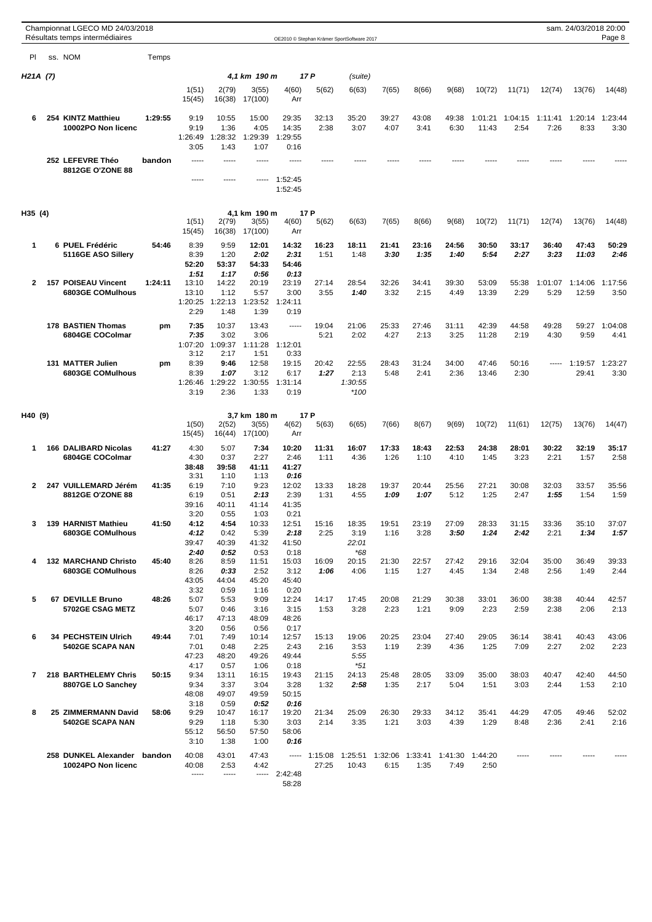|                | Championnat LGECO MD 24/03/2018<br>Résultats temps intermédiaires |         |                                       |                                        |                                        |                                        |                        | OE2010 © Stephan Krämer SportSoftware 2017 |                         |               |                 |                  |                 |                 | sam. 24/03/2018 20:00 | Page 8          |
|----------------|-------------------------------------------------------------------|---------|---------------------------------------|----------------------------------------|----------------------------------------|----------------------------------------|------------------------|--------------------------------------------|-------------------------|---------------|-----------------|------------------|-----------------|-----------------|-----------------------|-----------------|
| PI             | ss. NOM                                                           | Temps   |                                       |                                        |                                        |                                        |                        |                                            |                         |               |                 |                  |                 |                 |                       |                 |
| H21A (7)       |                                                                   |         |                                       |                                        | 4,1 km 190 m                           |                                        | 17 P                   | (suite)                                    |                         |               |                 |                  |                 |                 |                       |                 |
|                |                                                                   |         | 1(51)<br>15(45)                       | 2(79)<br>16(38)                        | 3(55)<br>17(100)                       | 4(60)<br>Arr                           | 5(62)                  | 6(63)                                      | 7(65)                   | 8(66)         | 9(68)           | 10(72)           | 11(71)          | 12(74)          | 13(76)                | 14(48)          |
| 6              | 254 KINTZ Matthieu<br>10002PO Non licenc                          | 1:29:55 | 9:19<br>9:19<br>1:26:49               | 10:55<br>1:36<br>1:28:32               | 15:00<br>4:05<br>1:29:39               | 29:35<br>14:35<br>1:29:55              | 32:13<br>2:38          | 35:20<br>3:07                              | 39:27<br>4:07           | 43:08<br>3:41 | 49:38<br>6:30   | 1:01:21<br>11:43 | 1:04:15<br>2:54 | 1:11:41<br>7:26 | 1:20:14<br>8:33       | 1:23:44<br>3:30 |
|                |                                                                   |         | 3:05                                  | 1:43                                   | 1:07                                   | 0:16                                   |                        |                                            |                         |               |                 |                  |                 |                 |                       |                 |
|                | 252 LEFEVRE Théo<br>8812GE O'ZONE 88                              | bandon  | -----                                 | -----<br>                              | -----                                  | -----<br>1:52:45<br>1:52:45            |                        |                                            |                         |               |                 |                  |                 |                 |                       |                 |
| H35 (4)        |                                                                   |         | 1(51)<br>15(45)                       | 2(79)<br>16(38)                        | 4,1 km 190 m<br>3(55)<br>17(100)       | 17 P<br>4(60)<br>Arr                   | 5(62)                  | 6(63)                                      | 7(65)                   | 8(66)         | 9(68)           | 10(72)           | 11(71)          | 12(74)          | 13(76)                | 14(48)          |
| 1              | 6 PUEL Frédéric<br>5116GE ASO Sillery                             | 54:46   | 8:39<br>8:39<br>52:20<br>1:51         | 9:59<br>1:20<br>53:37<br>1:17          | 12:01<br>2:02<br>54:33<br>0:56         | 14:32<br>2:31<br>54:46<br>0:13         | 16:23<br>1:51          | 18:11<br>1:48                              | 21:41<br>3:30           | 23:16<br>1:35 | 24:56<br>1:40   | 30:50<br>5:54    | 33:17<br>2:27   | 36:40<br>3:23   | 47:43<br>11:03        | 50:29<br>2:46   |
| $\mathbf{2}$   | 157 POISEAU Vincent<br><b>6803GE COMulhous</b>                    | 1:24:11 | 13:10<br>13:10<br>1:20:25<br>2:29     | 14:22<br>1:12<br>1:22:13<br>1:48       | 20:19<br>5:57<br>1:23:52<br>1:39       | 23:19<br>3:00<br>1:24:11<br>0:19       | 27:14<br>3:55          | 28:54<br>1:40                              | 32:26<br>3:32           | 34:41<br>2:15 | 39:30<br>4:49   | 53:09<br>13:39   | 55:38<br>2:29   | 1:01:07<br>5:29 | 1:14:06<br>12:59      | 1:17:56<br>3:50 |
|                | 178 BASTIEN Thomas<br>6804GE COColmar                             | pm      | 7:35<br>7:35<br>1:07:20<br>3:12       | 10:37<br>3:02<br>1:09:37<br>2:17       | 13:43<br>3:06<br>1:11:28<br>1:51       | -----<br>1:12:01<br>0:33               | 19:04<br>5:21          | 21:06<br>2:02                              | 25:33<br>4:27           | 27:46<br>2:13 | 31:11<br>3:25   | 42:39<br>11:28   | 44:58<br>2:19   | 49:28<br>4:30   | 59:27<br>9:59         | 1:04:08<br>4:41 |
|                | 131 MATTER Julien<br>6803GE COMulhous                             | pm      | 8:39<br>8:39<br>1:26:46<br>3:19       | 9:46<br>1:07<br>1:29:22<br>2:36        | 12:58<br>3:12<br>1:30:55<br>1:33       | 19:15<br>6:17<br>1:31:14<br>0:19       | 20:42<br>1:27          | 22:55<br>2:13<br>1:30:55<br>$*100$         | 28:43<br>5:48           | 31:24<br>2:41 | 34:00<br>2:36   | 47:46<br>13:46   | 50:16<br>2:30   | -----           | 1:19:57<br>29:41      | 1:23:27<br>3:30 |
| H40 (9)        |                                                                   |         |                                       |                                        | 3,7 km 180 m                           | 17 P                                   |                        |                                            |                         |               |                 |                  |                 |                 |                       |                 |
|                |                                                                   |         | 1(50)<br>15(45)                       | 2(52)<br>16(44)                        | 3(55)<br>17(100)                       | 4(62)<br>Arr                           | 5(63)                  | 6(65)                                      | 7(66)                   | 8(67)         | 9(69)           | 10(72)           | 11(61)          | 12(75)          | 13(76)                | 14(47)          |
| 1              | 166 DALIBARD Nicolas<br>6804GE COColmar                           | 41:27   | 4:30<br>4:30<br>38:48                 | 5:07<br>0:37<br>39:58                  | 7:34<br>2:27<br>41:11                  | 10:20<br>2:46<br>41:27                 | 11:31<br>1:11          | 16:07<br>4:36                              | 17:33<br>1:26           | 18:43<br>1:10 | 22:53<br>4:10   | 24:38<br>1:45    | 28:01<br>3:23   | 30:22<br>2:21   | 32:19<br>1:57         | 35:17<br>2:58   |
| 2              | 247 VUILLEMARD Jérém<br>8812GE O'ZONE 88                          | 41:35   | 3:31<br>6:19<br>6:19<br>39:16<br>3:20 | 1:10<br>7:10<br>0:51<br>40:11<br>0:55  | 1:13<br>9:23<br>2:13<br>41:14<br>1:03  | 0:16<br>12:02<br>2:39<br>41:35<br>0:21 | 13:33<br>1:31          | 18:28<br>4:55                              | 19:37<br>1:09           | 20:44<br>1:07 | 25:56<br>5:12   | 27:21<br>1:25    | 30:08<br>2:47   | 32:03<br>1:55   | 33:57<br>1:54         | 35:56<br>1:59   |
| 3              | 139 HARNIST Mathieu<br><b>6803GE COMulhous</b>                    | 41:50   | 4:12<br>4:12<br>39:47                 | 4:54<br>0:42<br>40:39                  | 10:33<br>5:39<br>41:32                 | 12:51<br>2:18<br>41:50                 | 15:16<br>2:25          | 18:35<br>3:19<br>22:01                     | 19:51<br>1:16           | 23:19<br>3:28 | 27:09<br>3:50   | 28:33<br>1:24    | 31:15<br>2:42   | 33:36<br>2:21   | 35:10<br>1:34         | 37:07<br>1:57   |
| 4              | <b>132 MARCHAND Christo</b><br>6803GE COMulhous                   | 45:40   | 2:40<br>8:26<br>8:26<br>43:05         | 0:52<br>8:59<br>0:33<br>44:04          | 0:53<br>11:51<br>2:52<br>45:20         | 0:18<br>15:03<br>3:12<br>45:40         | 16:09<br>1:06          | $*68$<br>20:15<br>4:06                     | 21:30<br>1:15           | 22:57<br>1:27 | 27:42<br>4:45   | 29:16<br>1:34    | 32:04<br>2:48   | 35:00<br>2:56   | 36:49<br>1:49         | 39:33<br>2:44   |
| 5              | 67 DEVILLE Bruno<br>5702GE CSAG METZ                              | 48:26   | 3:32<br>5:07<br>5:07<br>46:17         | 0:59<br>5:53<br>0:46<br>47:13          | 1:16<br>9:09<br>3:16<br>48:09          | 0:20<br>12:24<br>3:15<br>48:26         | 14:17<br>1:53          | 17:45<br>3:28                              | 20:08<br>2:23           | 21:29<br>1:21 | 30:38<br>9:09   | 33:01<br>2:23    | 36:00<br>2:59   | 38:38<br>2:38   | 40:44<br>2:06         | 42:57<br>2:13   |
| 6              | 34 PECHSTEIN Ulrich<br>5402GE SCAPA NAN                           | 49:44   | 3:20<br>7:01<br>7:01<br>47:23         | 0:56<br>7:49<br>0:48<br>48:20          | 0:56<br>10:14<br>2:25<br>49:26         | 0:17<br>12:57<br>2:43<br>49:44         | 15:13<br>2:16          | 19:06<br>3:53<br>5:55                      | 20:25<br>1:19           | 23:04<br>2:39 | 27:40<br>4:36   | 29:05<br>1:25    | 36:14<br>7:09   | 38:41<br>2:27   | 40:43<br>2:02         | 43:06<br>2:23   |
| $\overline{7}$ | 218 BARTHELEMY Chris<br>8807GE LO Sanchey                         | 50:15   | 4:17<br>9:34<br>9:34<br>48:08         | 0:57<br>13:11<br>3:37<br>49:07         | 1:06<br>16:15<br>3:04<br>49:59         | 0:18<br>19:43<br>3:28<br>50:15         | 21:15<br>1:32          | $*51$<br>24:13<br>2:58                     | 25:48<br>1:35           | 28:05<br>2:17 | 33:09<br>5:04   | 35:00<br>1:51    | 38:03<br>3:03   | 40:47<br>2:44   | 42:40<br>1:53         | 44:50<br>2:10   |
| 8              | 25 ZIMMERMANN David<br>5402GE SCAPA NAN                           | 58:06   | 3:18<br>9:29<br>9:29<br>55:12<br>3:10 | 0:59<br>10:47<br>1:18<br>56:50<br>1:38 | 0:52<br>16:17<br>5:30<br>57:50<br>1:00 | 0:16<br>19:20<br>3:03<br>58:06<br>0:16 | 21:34<br>2:14          | 25:09<br>3:35                              | 26:30<br>1:21           | 29:33<br>3:03 | 34:12<br>4:39   | 35:41<br>1:29    | 44:29<br>8:48   | 47:05<br>2:36   | 49:46<br>2:41         | 52:02<br>2:16   |
|                | 258 DUNKEL Alexander<br>10024PO Non licenc                        | bandon  | 40:08<br>40:08<br>-----               | 43:01<br>2:53<br>-----                 | 47:43<br>4:42<br>-----                 | 2:42:48<br>58:28                       | $--- 1:15:08$<br>27:25 | 1:25:51<br>10:43                           | 1:32:06 1:33:41<br>6:15 | 1:35          | 1:41:30<br>7:49 | 1:44:20<br>2:50  | -----           |                 |                       |                 |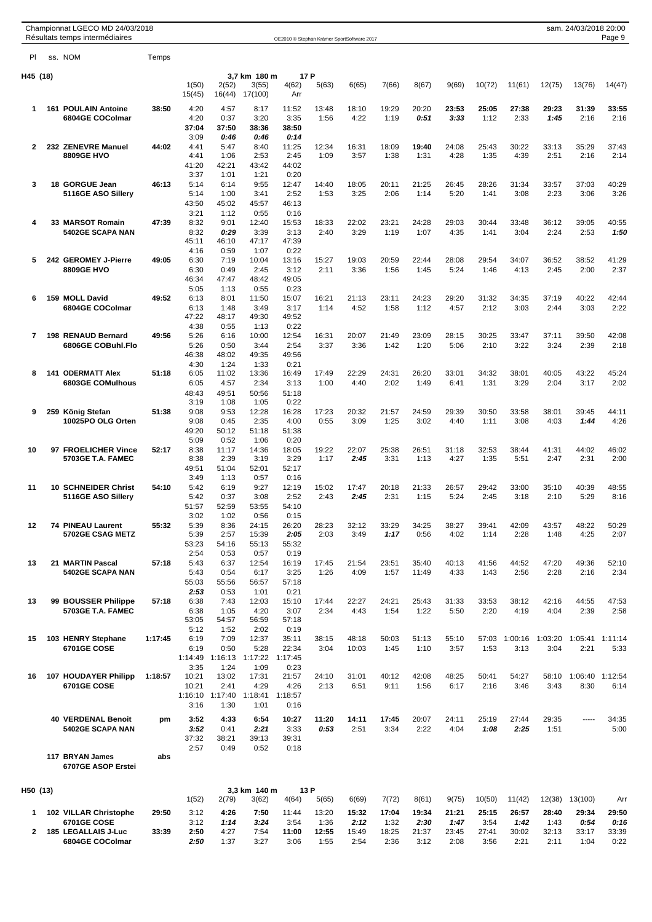|          |     | Championnat LGECO MD 24/03/2018<br>Résultats temps intermédiaires |         |                 |                         |                  | OE2010 © Stephan Krämer SportSoftware 2017 |               |               |               |                |               |               |               |                 | sam. 24/03/2018 20:00 | Page 9        |
|----------|-----|-------------------------------------------------------------------|---------|-----------------|-------------------------|------------------|--------------------------------------------|---------------|---------------|---------------|----------------|---------------|---------------|---------------|-----------------|-----------------------|---------------|
| PI       |     | ss. NOM                                                           | Temps   |                 |                         |                  |                                            |               |               |               |                |               |               |               |                 |                       |               |
| H45 (18) |     |                                                                   |         |                 |                         | 3,7 km 180 m     |                                            | 17 P          |               |               |                |               |               |               |                 |                       |               |
|          |     |                                                                   |         | 1(50)<br>15(45) | 2(52)<br>16(44)         | 3(55)<br>17(100) | 4(62)<br>Arr                               | 5(63)         | 6(65)         | 7(66)         | 8(67)          | 9(69)         | 10(72)        | 11(61)        | 12(75)          | 13(76)                | 14(47)        |
| 1        | 161 | <b>POULAIN Antoine</b>                                            | 38:50   | 4:20            | 4:57                    | 8:17             | 11:52                                      | 13:48         | 18:10         | 19:29         | 20:20          | 23:53         | 25:05         | 27:38         | 29:23           | 31:39                 | 33:55         |
|          |     | 6804GE COColmar                                                   |         | 4:20<br>37:04   | 0:37<br>37:50           | 3:20<br>38:36    | 3:35<br>38:50                              | 1:56          | 4:22          | 1:19          | 0:51           | 3:33          | 1:12          | 2:33          | 1:45            | 2:16                  | 2:16          |
|          |     |                                                                   |         | 3:09            | 0.46                    | 0:46             | 0:14                                       |               |               |               |                |               |               |               |                 |                       |               |
| 2        |     | 232 ZENEVRE Manuel<br><b>8809GE HVO</b>                           | 44:02   | 4:41            | 5:47                    | 8:40<br>2:53     | 11:25<br>2:45                              | 12:34<br>1:09 | 16:31<br>3:57 | 18:09<br>1:38 | 19:40<br>1:31  | 24:08<br>4:28 | 25:43<br>1:35 | 30:22<br>4:39 | 33:13<br>2:51   | 35:29<br>2:16         | 37:43<br>2:14 |
|          |     |                                                                   |         | 4:41<br>41:20   | 1:06<br>42:21           | 43:42            | 44:02                                      |               |               |               |                |               |               |               |                 |                       |               |
|          |     |                                                                   |         | 3:37            | 1:01                    | 1:21             | 0:20                                       |               |               |               |                |               |               |               |                 |                       |               |
| 3        |     | 18 GORGUE Jean<br>5116GE ASO Sillery                              | 46:13   | 5:14<br>5:14    | 6:14<br>1:00            | 9:55<br>3:41     | 12:47<br>2:52                              | 14:40<br>1:53 | 18:05<br>3:25 | 20:11<br>2:06 | 21:25<br>1:14  | 26:45<br>5:20 | 28:26<br>1:41 | 31:34<br>3:08 | 33:57<br>2:23   | 37:03<br>3:06         | 40:29<br>3:26 |
|          |     |                                                                   |         | 43:50           | 45:02                   | 45:57            | 46:13                                      |               |               |               |                |               |               |               |                 |                       |               |
|          |     |                                                                   |         | 3:21            | 1:12                    | 0:55             | 0:16                                       |               |               |               |                |               |               |               |                 |                       |               |
| 4        |     | 33 MARSOT Romain<br>5402GE SCAPA NAN                              | 47:39   | 8:32<br>8:32    | 9:01<br>0.29            | 12:40<br>3:39    | 15:53<br>3:13                              | 18:33<br>2:40 | 22:02<br>3:29 | 23:21<br>1:19 | 24:28<br>1:07  | 29:03<br>4:35 | 30:44<br>1:41 | 33:48<br>3:04 | 36:12<br>2:24   | 39:05<br>2:53         | 40:55<br>1:50 |
|          |     |                                                                   |         | 45:11           | 46:10                   | 47:17            | 47:39                                      |               |               |               |                |               |               |               |                 |                       |               |
| 5        |     | 242 GEROMEY J-Pierre                                              | 49:05   | 4:16            | 0:59                    | 1:07             | 0:22                                       |               |               |               |                |               |               |               |                 |                       |               |
|          |     | <b>8809GE HVO</b>                                                 |         | 6:30<br>6:30    | 7:19<br>0:49            | 10:04<br>2:45    | 13:16<br>3:12                              | 15:27<br>2:11 | 19:03<br>3:36 | 20:59<br>1:56 | 22:44<br>1:45  | 28:08<br>5:24 | 29:54<br>1:46 | 34:07<br>4:13 | 36:52<br>2:45   | 38:52<br>2:00         | 41:29<br>2:37 |
|          |     |                                                                   |         | 46:34           | 47:47                   | 48:42            | 49:05                                      |               |               |               |                |               |               |               |                 |                       |               |
| 6        |     | 159 MOLL David                                                    | 49:52   | 5:05<br>6:13    | 1:13<br>8:01            | 0:55<br>11:50    | 0:23<br>15:07                              | 16:21         | 21:13         | 23:11         | 24:23          | 29:20         | 31:32         | 34:35         | 37:19           | 40:22                 | 42:44         |
|          |     | 6804GE COColmar                                                   |         | 6:13            | 1:48                    | 3:49             | 3:17                                       | 1:14          | 4:52          | 1:58          | 1:12           | 4:57          | 2:12          | 3:03          | 2:44            | 3:03                  | 2:22          |
|          |     |                                                                   |         | 47:22           | 48:17                   | 49:30            | 49:52                                      |               |               |               |                |               |               |               |                 |                       |               |
| 7        |     | 198 RENAUD Bernard                                                | 49:56   | 4:38<br>5:26    | 0:55<br>6:16            | 1:13<br>10:00    | 0:22<br>12:54                              | 16:31         | 20:07         | 21:49         | 23:09          | 28:15         | 30:25         | 33:47         | 37:11           | 39:50                 | 42:08         |
|          |     | 6806GE COBuhl.Flo                                                 |         | 5:26            | 0:50                    | 3:44             | 2:54                                       | 3:37          | 3:36          | 1:42          | 1:20           | 5:06          | 2:10          | 3:22          | 3:24            | 2:39                  | 2:18          |
|          |     |                                                                   |         | 46:38<br>4:30   | 48:02<br>1:24           | 49:35<br>1:33    | 49:56<br>0:21                              |               |               |               |                |               |               |               |                 |                       |               |
| 8        |     | <b>141 ODERMATT Alex</b>                                          | 51:18   | 6:05            | 11:02                   | 13:36            | 16:49                                      | 17:49         | 22:29         | 24:31         | 26:20          | 33:01         | 34:32         | 38:01         | 40:05           | 43:22                 | 45:24         |
|          |     | <b>6803GE COMulhous</b>                                           |         | 6:05            | 4:57                    | 2:34             | 3:13                                       | 1:00          | 4:40          | 2:02          | 1:49           | 6:41          | 1:31          | 3:29          | 2:04            | 3:17                  | 2:02          |
|          |     |                                                                   |         | 48:43<br>3:19   | 49:51<br>1:08           | 50:56<br>1:05    | 51:18<br>0:22                              |               |               |               |                |               |               |               |                 |                       |               |
| 9        |     | 259 König Stefan                                                  | 51:38   | 9:08            | 9:53                    | 12:28            | 16:28                                      | 17:23         | 20:32         | 21:57         | 24:59          | 29:39         | 30:50         | 33:58         | 38:01           | 39:45                 | 44:11         |
|          |     | 10025PO OLG Orten                                                 |         | 9:08            | 0:45                    | 2:35             | 4:00                                       | 0:55          | 3:09          | 1:25          | 3:02           | 4:40          | 1:11          | 3:08          | 4:03            | 1:44                  | 4:26          |
|          |     |                                                                   |         | 49:20<br>5:09   | 50:12<br>0:52           | 51:18<br>1:06    | 51:38<br>0:20                              |               |               |               |                |               |               |               |                 |                       |               |
| 10       |     | 97 FROELICHER Vince                                               | 52:17   | 8:38            | 11:17                   | 14:36            | 18:05                                      | 19:22         | 22:07         | 25:38         | 26:51          | 31:18         | 32:53         | 38:44         | 41:31           | 44:02                 | 46:02         |
|          |     | 5703GE T.A. FAMEC                                                 |         | 8:38            | 2:39                    | 3:19             | 3:29                                       | 1:17          | 2:45          | 3:31          | 1:13           | 4:27          | 1:35          | 5:51          | 2:47            | 2:31                  | 2:00          |
|          |     |                                                                   |         | 49:51<br>3:49   | 51:04<br>1:13           | 52:01<br>0:57    | 52:17<br>0:16                              |               |               |               |                |               |               |               |                 |                       |               |
| 11       |     | <b>10 SCHNEIDER Christ</b>                                        | 54:10   | 5:42            | 6:19                    | 9:27             | 12:19                                      | 15:02         | 17:47         | 20:18         | 21:33          | 26:57         | 29:42         | 33:00         | 35:10           | 40:39                 | 48:55         |
|          |     | 5116GE ASO Sillery                                                |         | 5:42<br>51:57   | 0:37<br>52:59           | 3:08<br>53:55    | 2:52<br>54:10                              | 2:43          | 2:45          | 2:31          | 1:15           | 5:24          | 2:45          | 3:18          | 2:10            | 5:29                  | 8:16          |
|          |     |                                                                   |         | 3:02            | 1:02                    | 0:56             | 0:15                                       |               |               |               |                |               |               |               |                 |                       |               |
| 12       |     | <b>74 PINEAU Laurent</b>                                          | 55:32   | 5:39            | 8:36                    | 24:15            | 26:20                                      | 28:23         | 32:12         | 33:29         | 34:25          | 38:27         | 39:41         | 42:09         | 43:57           | 48:22                 | 50:29         |
|          |     | 5702GE CSAG METZ                                                  |         | 5:39<br>53:23   | 2:57<br>54:16           | 15:39<br>55:13   | 2:05<br>55:32                              | 2:03          | 3:49          | 1:17          | 0:56           | 4:02          | 1:14          | 2:28          | 1:48            | 4:25                  | 2:07          |
|          |     |                                                                   |         | 2:54            | 0:53                    | 0:57             | 0:19                                       |               |               |               |                |               |               |               |                 |                       |               |
| 13       |     | 21 MARTIN Pascal<br>5402GE SCAPA NAN                              | 57:18   | 5:43<br>5:43    | 6:37<br>0:54            | 12:54<br>6:17    | 16:19<br>3:25                              | 17:45<br>1:26 | 21:54<br>4:09 | 23:51<br>1:57 | 35:40<br>11:49 | 40:13<br>4:33 | 41:56<br>1:43 | 44:52<br>2:56 | 47:20<br>2:28   | 49:36<br>2:16         | 52:10<br>2:34 |
|          |     |                                                                   |         | 55:03           | 55:56                   | 56:57            | 57:18                                      |               |               |               |                |               |               |               |                 |                       |               |
|          |     |                                                                   |         | 2:53            | 0:53                    | 1:01             | 0:21                                       |               |               |               |                |               |               |               |                 |                       |               |
| 13       |     | 99 BOUSSER Philippe<br>5703GE T.A. FAMEC                          | 57:18   | 6:38<br>6:38    | 7:43<br>1:05            | 12:03<br>4:20    | 15:10<br>3:07                              | 17:44<br>2:34 | 22:27<br>4:43 | 24:21<br>1:54 | 25:43<br>1:22  | 31:33<br>5:50 | 33:53<br>2:20 | 38:12<br>4:19 | 42:16<br>4:04   | 44:55<br>2:39         | 47:53<br>2:58 |
|          |     |                                                                   |         | 53:05           | 54:57                   | 56:59            | 57:18                                      |               |               |               |                |               |               |               |                 |                       |               |
| 15       |     | 103 HENRY Stephane                                                | 1:17:45 | 5:12<br>6:19    | 1:52<br>7:09            | 2:02<br>12:37    | 0:19<br>35:11                              | 38:15         | 48:18         | 50:03         | 51:13          | 55:10         |               | 57:03 1:00:16 | 1:03:20         | 1:05:41               | 1:11:14       |
|          |     | <b>6701GE COSE</b>                                                |         | 6:19            | 0:50                    | 5:28             | 22:34                                      | 3:04          | 10:03         | 1:45          | 1:10           | 3:57          | 1:53          | 3:13          | 3:04            | 2:21                  | 5:33          |
|          |     |                                                                   |         |                 | 1:14:49 1:16:13         | 1:17:22          | 1:17:45                                    |               |               |               |                |               |               |               |                 |                       |               |
| 16       |     | 107 HOUDAYER Philipp                                              | 1:18:57 | 3:35<br>10:21   | 1:24<br>13:02           | 1:09<br>17:31    | 0:23<br>21:57                              | 24:10         | 31:01         | 40:12         | 42:08          | 48:25         | 50:41         | 54:27         | 58:10           | 1:06:40 1:12:54       |               |
|          |     | <b>6701GE COSE</b>                                                |         | 10:21           | 2:41                    | 4:29             | 4:26                                       | 2:13          | 6:51          | 9:11          | 1:56           | 6:17          | 2:16          | 3:46          | 3:43            | 8:30                  | 6:14          |
|          |     |                                                                   |         | 3:16            | 1:16:10 1:17:40<br>1:30 | 1:18:41<br>1:01  | 1:18:57                                    |               |               |               |                |               |               |               |                 |                       |               |
|          |     |                                                                   |         |                 |                         |                  | 0:16                                       |               |               |               |                |               |               |               |                 |                       |               |
|          |     | <b>40 VERDENAL Benoit</b><br>5402GE SCAPA NAN                     | pm      | 3:52<br>3:52    | 4:33<br>0:41            | 6:54<br>2:21     | 10:27<br>3:33                              | 11:20<br>0:53 | 14:11<br>2:51 | 17:45<br>3:34 | 20:07<br>2:22  | 24:11<br>4:04 | 25:19<br>1:08 | 27:44<br>2:25 | 29:35<br>1:51   | -----                 | 34:35<br>5:00 |
|          |     |                                                                   |         | 37:32           | 38:21                   | 39:13            | 39:31                                      |               |               |               |                |               |               |               |                 |                       |               |
|          |     | 117 BRYAN James                                                   | abs     | 2:57            | 0:49                    | 0:52             | 0:18                                       |               |               |               |                |               |               |               |                 |                       |               |
|          |     | 6707GE ASOP Erstei                                                |         |                 |                         |                  |                                            |               |               |               |                |               |               |               |                 |                       |               |
| H50 (13) |     |                                                                   |         |                 |                         | 3,3 km 140 m     |                                            | 13 P          |               |               |                |               |               |               |                 |                       |               |
|          |     |                                                                   | 29:50   | 1(52)           | 2(79)                   | 3(62)            | 4(64)                                      | 5(65)         | 6(69)         | 7(72)         | 8(61)          | 9(75)         | 10(50)        | 11(42)        | 12(38)<br>28:40 | 13(100)               | Arr           |
| 1        |     | 102 VILLAR Christophe<br><b>6701GE COSE</b>                       |         | 3:12<br>3:12    | 4:26<br>1:14            | 7:50<br>3:24     | 11:44<br>3:54                              | 13:20<br>1:36 | 15:32<br>2:12 | 17:04<br>1:32 | 19:34<br>2:30  | 21:21<br>1:47 | 25:15<br>3:54 | 26:57<br>1:42 | 1:43            | 29:34<br>0.54         | 29:50<br>0:16 |
| 2        |     | 185 LEGALLAIS J-Luc                                               | 33:39   | 2:50            | 4:27                    | 7:54             | 11:00                                      | 12:55         | 15:49         | 18:25         | 21:37          | 23:45         | 27:41         | 30:02         | 32:13           | 33:17                 | 33:39         |
|          |     | 6804GE COColmar                                                   |         | 2:50            | 1:37                    | 3:27             | 3:06                                       | 1:55          | 2:54          | 2:36          | 3:12           | 2:08          | 3:56          | 2:21          | 2:11            | 1:04                  | 0:22          |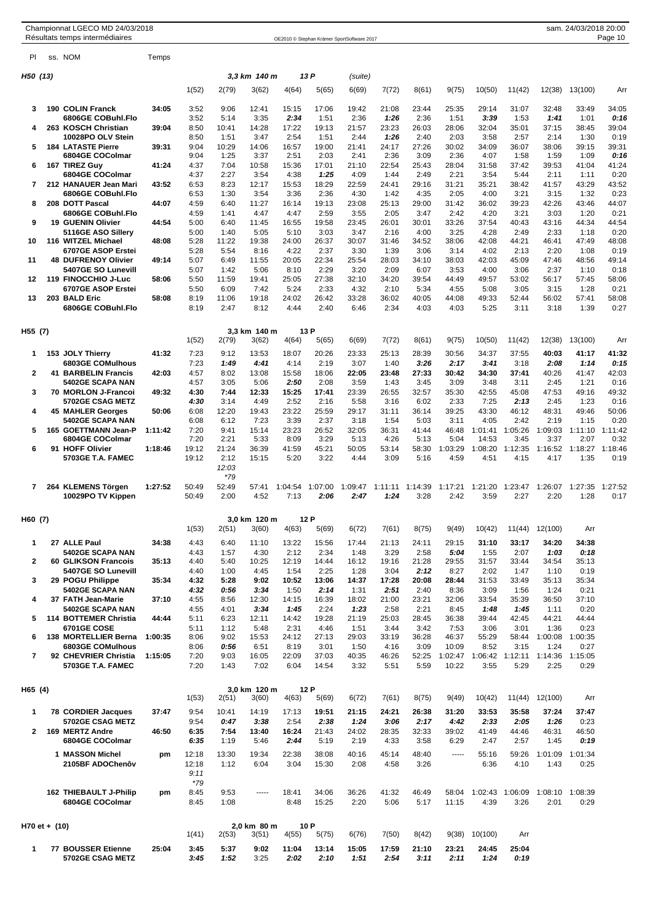| Championnat LGECO MD 24/03/201 |  |  |
|--------------------------------|--|--|
|                                |  |  |

| PI.            |               | ss. NOM                                        | Temps   |                |               |                       |                 |                 |                 |                 |                 |                  |                  |                 |                  |                 |                 |
|----------------|---------------|------------------------------------------------|---------|----------------|---------------|-----------------------|-----------------|-----------------|-----------------|-----------------|-----------------|------------------|------------------|-----------------|------------------|-----------------|-----------------|
| H50 (13)       |               |                                                |         |                |               | 3,3 km 140 m          |                 | 13 P            | (suite)         |                 |                 |                  |                  |                 |                  |                 |                 |
|                |               |                                                |         | 1(52)          | 2(79)         | 3(62)                 | 4(64)           | 5(65)           | 6(69)           | 7(72)           | 8(61)           | 9(75)            | 10(50)           | 11(42)          | 12(38)           | 13(100)         | Arr             |
| 3              |               | <b>190 COLIN Franck</b>                        | 34:05   | 3:52           | 9:06          | 12:41                 | 15:15           | 17:06           | 19:42           | 21:08           | 23:44           | 25:35            | 29:14            | 31:07           | 32:48            | 33:49           | 34:05           |
|                |               | 6806GE COBuhl.Flo                              |         | 3:52           | 5:14          | 3:35                  | 2:34            | 1:51            | 2:36            | 1:26            | 2:36            | 1:51             | 3:39             | 1:53            | 1:41             | 1:01            | 0:16            |
| 4              |               | 263 KOSCH Christian<br>10028PO OLV Stein       | 39:04   | 8:50<br>8:50   | 10:41<br>1:51 | 14:28<br>3:47         | 17:22<br>2:54   | 19:13<br>1:51   | 21:57<br>2:44   | 23:23<br>1:26   | 26:03<br>2:40   | 28:06<br>2:03    | 32:04<br>3:58    | 35:01<br>2:57   | 37:15<br>2:14    | 38:45<br>1:30   | 39:04<br>0:19   |
| 5              |               | <b>184 LATASTE Pierre</b><br>6804GE COColmar   | 39:31   | 9:04<br>9:04   | 10:29<br>1:25 | 14:06<br>3:37         | 16:57<br>2:51   | 19:00<br>2:03   | 21:41<br>2:41   | 24:17<br>2:36   | 27:26<br>3:09   | 30:02<br>2:36    | 34:09<br>4:07    | 36:07<br>1:58   | 38:06<br>1:59    | 39:15<br>1:09   | 39:31<br>0:16   |
| 6              |               | 167 TIREZ Guy                                  | 41:24   | 4:37           | 7:04          | 10:58                 | 15:36           | 17:01           | 21:10           | 22:54           | 25:43           | 28:04            | 31:58            | 37:42           | 39:53            | 41:04           | 41:24           |
|                |               | 6804GE COColmar                                |         | 4:37           | 2:27          | 3:54                  | 4:38            | 1:25            | 4:09            | 1:44            | 2:49            | 2:21             | 3:54             | 5:44            | 2:11             | 1:11            | 0:20            |
| 7              |               | 212 HANAUER Jean Mari<br>6806GE COBuhl.Flo     | 43:52   | 6:53<br>6:53   | 8:23<br>1:30  | 12:17<br>3:54         | 15:53<br>3:36   | 18:29<br>2:36   | 22:59<br>4:30   | 24:41<br>1:42   | 29:16<br>4:35   | 31:21<br>2:05    | 35:21<br>4:00    | 38:42<br>3:21   | 41:57<br>3:15    | 43:29<br>1:32   | 43:52<br>0:23   |
| 8              |               | 208 DOTT Pascal                                | 44:07   | 4:59           | 6:40          | 11:27                 | 16:14           | 19:13           | 23:08           | 25:13           | 29:00           | 31:42            | 36:02            | 39:23           | 42:26            | 43:46           | 44:07           |
| 9              |               | 6806GE COBuhl.Flo<br>19 GUENIN Olivier         | 44:54   | 4:59<br>5:00   | 1:41<br>6:40  | 4:47<br>11:45         | 4:47<br>16:55   | 2:59<br>19:58   | 3:55<br>23:45   | 2:05<br>26:01   | 3:47<br>30:01   | 2:42<br>33:26    | 4:20<br>37:54    | 3:21<br>40:43   | 3:03<br>43:16    | 1:20<br>44:34   | 0:21<br>44:54   |
|                |               | 5116GE ASO Sillery                             |         | 5:00           | 1:40          | 5:05                  | 5:10            | 3:03            | 3:47            | 2:16            | 4:00            | 3:25             | 4:28             | 2:49            | 2:33             | 1:18            | 0:20            |
| 10             |               | 116 WITZEL Michael<br>6707GE ASOP Erstei       | 48:08   | 5:28<br>5:28   | 11:22<br>5:54 | 19:38<br>8:16         | 24:00<br>4:22   | 26:37<br>2:37   | 30:07<br>3:30   | 31:46<br>1:39   | 34:52<br>3:06   | 38:06<br>3:14    | 42:08<br>4:02    | 44:21<br>2:13   | 46:41<br>2:20    | 47:49<br>1:08   | 48:08<br>0:19   |
| 11             |               | <b>48 DUFRENOY Olivier</b>                     | 49:14   | 5:07           | 6:49          | 11:55                 | 20:05           | 22:34           | 25:54           | 28:03           | 34:10           | 38:03            | 42:03            | 45:09           | 47:46            | 48:56           | 49:14           |
| 12             |               | 5407GE SO Lunevill<br>119 FINOCCHIO J-Luc      | 58:06   | 5:07<br>5:50   | 1:42<br>11:59 | 5:06<br>19:41         | 8:10<br>25:05   | 2:29<br>27:38   | 3:20<br>32:10   | 2:09<br>34:20   | 6:07<br>39:54   | 3:53<br>44:49    | 4:00<br>49:57    | 3:06<br>53:02   | 2:37<br>56:17    | 1:10<br>57:45   | 0:18<br>58:06   |
|                |               | 6707GE ASOP Erstei                             |         | 5:50           | 6:09          | 7:42                  | 5:24            | 2:33            | 4:32            | 2:10            | 5:34            | 4:55             | 5:08             | 3:05            | 3:15             | 1:28            | 0:21            |
| 13             |               | 203 BALD Eric<br>6806GE COBuhl.Flo             | 58:08   | 8:19<br>8:19   | 11:06<br>2:47 | 19:18<br>8:12         | 24:02<br>4:44   | 26:42<br>2:40   | 33:28<br>6:46   | 36:02<br>2:34   | 40:05<br>4:03   | 44:08<br>4:03    | 49:33<br>5:25    | 52:44<br>3:11   | 56:02<br>3:18    | 57:41<br>1:39   | 58:08<br>0:27   |
|                |               |                                                |         |                |               |                       |                 |                 |                 |                 |                 |                  |                  |                 |                  |                 |                 |
| H55 (7)        |               |                                                |         | 1(52)          | 2(79)         | 3,3 km 140 m<br>3(62) | 13 P<br>4(64)   | 5(65)           | 6(69)           | 7(72)           | 8(61)           | 9(75)            | 10(50)           | 11(42)          | 12(38)           | 13(100)         | Arr             |
| 1              |               | 153 JOLY Thierry                               | 41:32   | 7:23           | 9:12          | 13:53                 | 18:07           | 20:26           | 23:33           | 25:13           | 28:39           | 30:56            | 34:37            | 37:55           | 40:03            | 41:17           | 41:32           |
|                |               | 6803GE COMulhous                               |         | 7:23           | 1:49          | 4:41                  | 4:14            | 2:19            | 3:07            | 1:40            | 3:26            | 2:17             | 3:41             | 3:18            | 2:08             | 1:14            | 0:15            |
| $\mathbf{2}$   |               | <b>41 BARBELIN Francis</b><br>5402GE SCAPA NAN | 42:03   | 4:57<br>4:57   | 8:02<br>3:05  | 13:08<br>5:06         | 15:58<br>2:50   | 18:06<br>2:08   | 22:05<br>3:59   | 23:48<br>1:43   | 27:33<br>3:45   | 30:42<br>3:09    | 34:30<br>3:48    | 37:41<br>3:11   | 40:26<br>2:45    | 41:47<br>1:21   | 42:03<br>0:16   |
| 3              |               | 70 MORLON J-Francoi                            | 49:32   | 4:30           | 7:44          | 12:33                 | 15:25           | 17:41           | 23:39           | 26:55           | 32:57           | 35:30            | 42:55            | 45:08           | 47:53            | 49:16           | 49:32           |
|                |               | 5702GE CSAG METZ                               |         | 4:30           | 3:14          | 4:49                  | 2:52            | 2:16            | 5:58            | 3:16            | 6:02            | 2:33             | 7:25             | 2:13            | 2:45             | 1:23            | 0:16            |
| 4              |               | <b>45 MAHLER Georges</b><br>5402GE SCAPA NAN   | 50:06   | 6:08<br>6:08   | 12:20<br>6:12 | 19:43<br>7:23         | 23:22<br>3:39   | 25:59<br>2:37   | 29:17<br>3:18   | 31:11<br>1:54   | 36:14<br>5:03   | 39:25<br>3:11    | 43:30<br>4:05    | 46:12<br>2:42   | 48:31<br>2:19    | 49:46<br>1:15   | 50:06<br>0:20   |
| 5              |               | 165 GOETTMANN Jean-P<br>6804GE COColmar        | 1:11:42 | 7:20<br>7:20   | 9:41<br>2:21  | 15:14<br>5:33         | 23:23<br>8:09   | 26:52<br>3:29   | 32:05<br>5:13   | 36:31<br>4:26   | 41:44<br>5:13   | 46:48<br>5:04    | 1:01:41<br>14:53 | 1:05:26<br>3:45 | 1:09:03<br>3:37  | 1:11:10<br>2:07 | 1:11:42<br>0:32 |
| 6              |               | 91 HOFF Olivier                                | 1:18:46 | 19:12          | 21:24         | 36:39                 | 41:59           | 45:21           | 50:05           | 53:14           | 58:30           | 1:03:29          | 1:08:20          | 1:12:35         | 1:16:52          | 1:18:27         | 1:18:46         |
|                |               | 5703GE T.A. FAMEC                              |         | 19:12          | 2:12<br>12:03 | 15:15                 | 5:20            | 3:22            | 4:44            | 3:09            | 5:16            | 4:59             | 4:51             | 4:15            | 4:17             | 1:35            | 0:19            |
|                |               |                                                |         |                | $*79$         |                       |                 |                 |                 |                 |                 |                  |                  |                 |                  |                 |                 |
| 7              |               | 264 KLEMENS Törgen<br>10029PO TV Kippen        | 1:27:52 | 50:49<br>50:49 | 52:49<br>2:00 | 57:41<br>4:52         | 1:04:54<br>7:13 | 1:07:00<br>2:06 | 1:09:47<br>2:47 | 1:11:11<br>1:24 | 1:14:39<br>3:28 | 1:17:21<br>2:42  | 1:21:20<br>3:59  | 1:23:47<br>2:27 | 1:26:07<br>2:20  | 1:27:35<br>1:28 | 1:27:52<br>0:17 |
|                |               |                                                |         |                |               |                       |                 |                 |                 |                 |                 |                  |                  |                 |                  |                 |                 |
| H60 (7)        |               |                                                |         |                |               | 3,0 km 120 m          | 12 P            |                 |                 |                 |                 |                  |                  |                 |                  |                 |                 |
| 1              |               | 27 ALLE Paul                                   | 34:38   | 1(53)<br>4:43  | 2(51)<br>6:40 | 3(60)<br>11:10        | 4(63)           | 5(69)           | 6(72)<br>17:44  | 7(61)<br>21:13  | 8(75)<br>24:11  | 9(49)            | 10(42)<br>31:10  | 11(44)<br>33:17 | 12(100)<br>34:20 | Arr<br>34:38    |                 |
|                |               | <b>5402GE SCAPA NAN</b>                        |         | 4:43           | 1:57          | 4:30                  | 13:22<br>2:12   | 15:56<br>2:34   | 1:48            | 3:29            | 2:58            | 29:15<br>5:04    | 1:55             | 2:07            | 1:03             | 0:18            |                 |
| $\mathbf{2}$   |               | <b>60 GLIKSON Francois</b>                     | 35:13   | 4:40           | 5:40          | 10:25                 | 12:19           | 14:44           | 16:12           | 19:16<br>3:04   | 21:28<br>2:12   | 29:55            | 31:57<br>2:02    | 33:44           | 34:54            | 35:13           |                 |
| 3              |               | 5407GE SO Lunevill<br>29 POGU Philippe         | 35:34   | 4:40<br>4:32   | 1:00<br>5:28  | 4:45<br>9:02          | 1:54<br>10:52   | 2:25<br>13:06   | 1:28<br>14:37   | 17:28           | 20:08           | 8:27<br>28:44    | 31:53            | 1:47<br>33:49   | 1:10<br>35:13    | 0:19<br>35:34   |                 |
| 4              |               | 5402GE SCAPA NAN<br>37 FATH Jean-Marie         | 37:10   | 4:32<br>4:55   | 0:56<br>8:56  | 3:34<br>12:30         | 1:50<br>14:15   | 2:14<br>16:39   | 1:31<br>18:02   | 2:51<br>21:00   | 2:40<br>23:21   | 8:36<br>32:06    | 3:09<br>33:54    | 1:56<br>35:39   | 1:24<br>36:50    | 0:21<br>37:10   |                 |
|                |               | 5402GE SCAPA NAN                               |         | 4:55           | 4:01          | 3:34                  | 1:45            | 2:24            | 1:23            | 2:58            | 2:21            | 8:45             | 1:48             | 1:45            | 1:11             | 0:20            |                 |
| 5              |               | 114 BOTTEMER Christia<br><b>6701GE COSE</b>    | 44:44   | 5:11<br>5:11   | 6:23<br>1:12  | 12:11<br>5:48         | 14:42<br>2:31   | 19:28<br>4:46   | 21:19<br>1:51   | 25:03<br>3:44   | 28:45<br>3:42   | 36:38<br>7:53    | 39:44<br>3:06    | 42:45<br>3:01   | 44:21<br>1:36    | 44:44<br>0:23   |                 |
| 6              |               | 138 MORTELLIER Berna                           | 1:00:35 | 8:06           | 9:02          | 15:53                 | 24:12           | 27:13           | 29:03           | 33:19           | 36:28           | 46:37            | 55:29            | 58:44           | 1:00:08          | 1:00:35         |                 |
| $\overline{7}$ |               | 6803GE COMulhous<br>92 CHEVRIER Christia       | 1:15:05 | 8:06<br>7:20   | 0:56<br>9:03  | 6:51<br>16:05         | 8:19<br>22:09   | 3:01<br>37:03   | 1:50<br>40:35   | 4:16<br>46:26   | 3:09<br>52:25   | 10:09<br>1:02:47 | 8:52<br>1:06:42  | 3:15<br>1:12:11 | 1:24<br>1:14:36  | 0:27<br>1:15:05 |                 |
|                |               | 5703GE T.A. FAMEC                              |         | 7:20           | 1:43          | 7:02                  | 6:04            | 14:54           | 3:32            | 5:51            | 5:59            | 10:22            | 3:55             | 5:29            | 2:25             | 0:29            |                 |
|                |               |                                                |         |                |               |                       |                 |                 |                 |                 |                 |                  |                  |                 |                  |                 |                 |
| H65 (4)        |               |                                                |         | 1(53)          | 2(51)         | 3.0 km 120 m<br>3(60) | 12 P<br>4(63)   | 5(69)           | 6(72)           | 7(61)           | 8(75)           | 9(49)            | 10(42)           | 11(44)          | 12(100)          | Arr             |                 |
| 1              |               | 78 CORDIER Jacques                             | 37:47   | 9:54           | 10:41         | 14:19                 | 17:13           | 19:51           | 21:15           | 24:21           | 26:38           | 31:20            | 33:53            | 35:58           | 37:24            | 37:47           |                 |
|                |               | 5702GE CSAG METZ                               |         | 9:54           | 0:47          | 3:38                  | 2:54            | 2:38            | 1:24            | 3:06            | 2:17            | 4:42             | 2:33             | 2:05            | 1:26             | 0:23            |                 |
| $\mathbf{2}$   |               | 169 MERTZ Andre<br>6804GE COColmar             | 46:50   | 6:35<br>6:35   | 7:54<br>1:19  | 13:40<br>5:46         | 16:24<br>2:44   | 21:43<br>5:19   | 24:02<br>2:19   | 28:35<br>4:33   | 32:33<br>3:58   | 39:02<br>6:29    | 41:49<br>2:47    | 44:46<br>2:57   | 46:31<br>1:45    | 46:50<br>0:19   |                 |
|                |               | 1 MASSON Michel                                | pm      | 12:18          | 13:30         | 19:34                 | 22:38           | 38:08           | 40:16           | 45:14           | 48:40           | 1.1.1.1          | 55:16            | 59:26           | 1:01:09          | 1:01:34         |                 |
|                |               | 2105BF ADOChenôv                               |         | 12:18          | 1:12          | 6:04                  | 3:04            | 15:30           | 2:08            | 4:58            | 3:26            |                  | 6:36             | 4:10            | 1:43             | 0:25            |                 |
|                |               |                                                |         | 9:11<br>$*79$  |               |                       |                 |                 |                 |                 |                 |                  |                  |                 |                  |                 |                 |
|                |               | 162 THIEBAULT J-Philip                         | pm      | 8:45           | 9:53          | -----                 | 18:41           | 34:06           | 36:26           | 41:32           | 46:49           | 58:04            | 1:02:43          | 1:06:09         | 1:08:10          | 1:08:39         |                 |
|                |               | 6804GE COColmar                                |         | 8:45           | 1:08          |                       | 8:48            | 15:25           | 2:20            | 5:06            | 5:17            | 11:15            | 4:39             | 3:26            | 2:01             | 0:29            |                 |
|                | H70 et + (10) |                                                |         |                |               | 2,0 km 80 m           |                 | 10 P            |                 |                 |                 |                  |                  |                 |                  |                 |                 |
|                |               |                                                |         | 1(41)          | 2(53)         | 3(51)                 | 4(55)           | 5(75)           | 6(76)           | 7(50)           | 8(42)           | 9(38)            | 10(100)          | Arr             |                  |                 |                 |
| 1              |               | 77 BOUSSER Etienne                             | 25:04   | 3:45           | 5:37          | 9:02                  | 11:04           | 13:14           | 15:05           | 17:59           | 21:10           | 23:21            | 24:45            | 25:04           |                  |                 |                 |
|                |               | 5702GE CSAG METZ                               |         | 3:45           | 1:52          | 3:25                  | 2:02            | 2:10            | 1:51            | 2:54            | 3:11            | 2:11             | 1:24             | 0:19            |                  |                 |                 |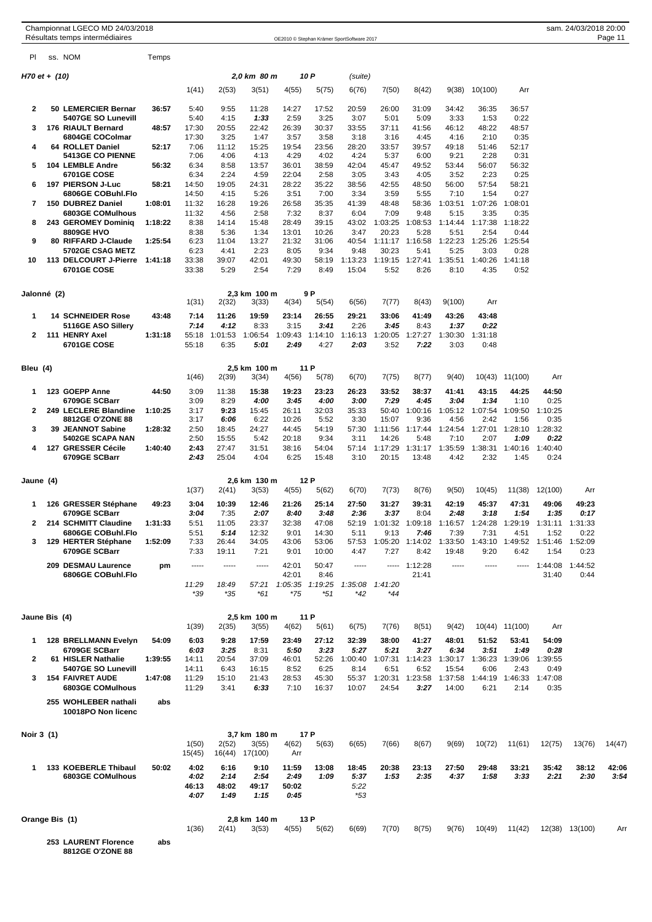|                | Championnat LGECO MD 24/03/2018<br>Résultats temps intermédiaires |         |                 |                 |                       |                  |                 | OE2010 © Stephan Krämer SportSoftware 2017 |                         |                         |                  |                         |                 |                 | sam. 24/03/2018 20:00 | Page 11 |
|----------------|-------------------------------------------------------------------|---------|-----------------|-----------------|-----------------------|------------------|-----------------|--------------------------------------------|-------------------------|-------------------------|------------------|-------------------------|-----------------|-----------------|-----------------------|---------|
| PI.            | ss. NOM                                                           | Temps   |                 |                 |                       |                  |                 |                                            |                         |                         |                  |                         |                 |                 |                       |         |
| H70 et + (10)  |                                                                   |         |                 |                 | 2,0 km 80 m           |                  | 10 P            | (suite)                                    |                         |                         |                  |                         |                 |                 |                       |         |
|                |                                                                   |         | 1(41)           | 2(53)           | 3(51)                 | 4(55)            | 5(75)           | 6(76)                                      | 7(50)                   | 8(42)                   | 9(38)            | 10(100)                 | Arr             |                 |                       |         |
| 2              | 50 LEMERCIER Bernar                                               | 36:57   | 5:40            | 9:55            | 11:28                 | 14:27            | 17:52           | 20:59                                      | 26:00                   | 31:09                   | 34:42            | 36:35                   | 36:57           |                 |                       |         |
| 3              | 5407GE SO Lunevill<br>176 RIAULT Bernard                          | 48:57   | 5:40<br>17:30   | 4:15<br>20:55   | 1:33<br>22:42         | 2:59<br>26:39    | 3:25<br>30:37   | 3:07<br>33:55                              | 5:01<br>37:11           | 5:09<br>41:56           | 3:33<br>46:12    | 1:53<br>48:22           | 0:22<br>48:57   |                 |                       |         |
|                | 6804GE COColmar                                                   |         | 17:30           | 3:25            | 1:47                  | 3:57             | 3:58            | 3:18                                       | 3:16                    | 4:45                    | 4:16             | 2:10                    | 0:35            |                 |                       |         |
| 4              | <b>64 ROLLET Daniel</b><br><b>5413GE CO PIENNE</b>                | 52:17   | 7:06<br>7:06    | 11:12<br>4:06   | 15:25<br>4:13         | 19:54<br>4:29    | 23:56<br>4:02   | 28:20<br>4:24                              | 33:57<br>5:37           | 39:57<br>6:00           | 49:18<br>9:21    | 51:46<br>2:28           | 52:17<br>0:31   |                 |                       |         |
| 5              | 104 LEMBLE Andre                                                  | 56:32   | 6:34            | 8:58            | 13:57                 | 36:01            | 38:59           | 42:04                                      | 45:47                   | 49:52                   | 53:44            | 56:07                   | 56:32           |                 |                       |         |
| 6              | <b>6701GE COSE</b><br>197 PIERSON J-Luc                           | 58:21   | 6:34<br>14:50   | 2:24<br>19:05   | 4:59<br>24:31         | 22:04<br>28:22   | 2:58<br>35:22   | 3:05<br>38:56                              | 3:43<br>42:55           | 4:05<br>48:50           | 3:52<br>56:00    | 2:23<br>57:54           | 0:25<br>58:21   |                 |                       |         |
|                | 6806GE COBuhl.Flo                                                 |         | 14:50           | 4:15            | 5:26                  | 3:51             | 7:00            | 3:34                                       | 3:59                    | 5:55                    | 7:10             | 1:54                    | 0:27            |                 |                       |         |
| 7              | 150 DUBREZ Daniel<br>6803GE COMulhous                             | 1:08:01 | 11:32<br>11:32  | 16:28<br>4:56   | 19:26<br>2:58         | 26:58<br>7:32    | 35:35<br>8:37   | 41:39<br>6:04                              | 48:48<br>7:09           | 58:36<br>9:48           | 1:03:51<br>5:15  | 1:07:26<br>3:35         | 1:08:01<br>0:35 |                 |                       |         |
| 8              | 243 GEROMEY Dominiq                                               | 1:18:22 | 8:38            | 14:14           | 15:48                 | 28:49            | 39:15           | 43:02                                      | 1:03:25                 | 1:08:53                 | 1:14:44          | 1:17:38                 | 1:18:22         |                 |                       |         |
| 9              | <b>8809GE HVO</b><br>80 RIFFARD J-Claude                          | 1:25:54 | 8:38<br>6:23    | 5:36<br>11:04   | 1:34<br>13:27         | 13:01<br>21:32   | 10:26<br>31:06  | 3:47<br>40:54                              | 20:23<br>1:11:17        | 5:28<br>1:16:58         | 5:51<br>1:22:23  | 2:54<br>1:25:26         | 0:44<br>1:25:54 |                 |                       |         |
|                | <b>5702GE CSAG METZ</b>                                           |         | 6:23            | 4:41            | 2:23                  | 8:05             | 9:34            | 9:48                                       | 30:23                   | 5:41                    | 5:25             | 3:03                    | 0:28            |                 |                       |         |
| 10             | 113 DELCOURT J-Pierre<br>6701GE COSE                              | 1:41:18 | 33:38<br>33:38  | 39:07<br>5:29   | 42:01<br>2:54         | 49:30<br>7:29    | 58:19<br>8:49   | 1:13:23<br>15:04                           | 1:19:15<br>5:52         | 1:27:41<br>8:26         | 1:35:51<br>8:10  | 1:40:26<br>4:35         | 1:41:18<br>0:52 |                 |                       |         |
|                |                                                                   |         |                 |                 |                       |                  |                 |                                            |                         |                         |                  |                         |                 |                 |                       |         |
| Jalonné (2)    |                                                                   |         | 1(31)           | 2(32)           | 2,3 km 100 m<br>3(33) | 4(34)            | 9 P<br>5(54)    | 6(56)                                      | 7(77)                   | 8(43)                   | 9(100)           | Arr                     |                 |                 |                       |         |
| 1              | <b>14 SCHNEIDER Rose</b>                                          | 43:48   | 7:14            | 11:26           | 19:59                 | 23:14            | 26:55           | 29:21                                      | 33:06                   | 41:49                   | 43:26            | 43:48                   |                 |                 |                       |         |
| 2              | 5116GE ASO Sillery<br>111 HENRY Axel                              | 1:31:18 | 7:14<br>55:18   | 4:12<br>1:01:53 | 8:33<br>1:06:54       | 3:15<br>1:09:43  | 3:41<br>1:14:10 | 2:26<br>1:16:13                            | 3:45<br>1:20:05         | 8:43<br>1:27:27         | 1:37<br>1:30:30  | 0:22<br>1:31:18         |                 |                 |                       |         |
|                | 6701GE COSE                                                       |         | 55:18           | 6:35            | 5:01                  | 2:49             | 4:27            | 2:03                                       | 3:52                    | 7:22                    | 3:03             | 0:48                    |                 |                 |                       |         |
|                |                                                                   |         |                 |                 |                       |                  |                 |                                            |                         |                         |                  |                         |                 |                 |                       |         |
| Bleu (4)       |                                                                   |         | 1(46)           | 2(39)           | 2,5 km 100 m<br>3(34) | 4(56)            | 11 P<br>5(78)   | 6(70)                                      | 7(75)                   | 8(77)                   | 9(40)            |                         | 10(43) 11(100)  | Arr             |                       |         |
| 1              | 123 GOEPP Anne                                                    | 44:50   | 3:09            | 11:38           | 15:38                 | 19:23            | 23:23           | 26:23                                      | 33:52                   | 38:37                   | 41:41            | 43:15                   | 44:25           | 44:50           |                       |         |
| 2              | 6709GE SCBarr<br>249 LECLERE Blandine                             | 1:10:25 | 3:09<br>3:17    | 8:29<br>9:23    | 4:00<br>15:45         | 3:45<br>26:11    | 4:00<br>32:03   | 3:00<br>35:33                              | 7:29<br>50:40           | 4:45<br>1:00:16         | 3:04<br>1:05:12  | 1:34<br>1:07:54         | 1:10<br>1:09:50 | 0:25<br>1:10:25 |                       |         |
|                | 8812GE O'ZONE 88                                                  |         | 3:17            | 6:06            | 6:22                  | 10:26            | 5:52            | 3:30                                       | 15:07                   | 9:36                    | 4:56             | 2:42                    | 1:56            | 0:35            |                       |         |
| 3              | 39 JEANNOT Sabine<br>5402GE SCAPA NAN                             | 1:28:32 | 2:50<br>2:50    | 18:45<br>15:55  | 24:27<br>5:42         | 44:45<br>20:18   | 54:19<br>9:34   | 57:30<br>3:11                              | 1:11:56<br>14:26        | 1:17:44<br>5:48         | 1:24:54<br>7:10  | 1:27:01<br>2:07         | 1:28:10<br>1:09 | 1:28:32<br>0:22 |                       |         |
| 4              | 127 GRESSER Cécile                                                | 1:40:40 | 2:43<br>2:43    | 27:47<br>25:04  | 31:51<br>4:04         | 38:16<br>6:25    | 54:04           | 57:14<br>3:10                              | 1:17:29<br>20:15        | 1:31:17<br>13:48        | 1:35:59<br>4:42  | 1:38:31<br>2:32         | 1:40:16<br>1:45 | 1:40:40         |                       |         |
|                | 6709GE SCBarr                                                     |         |                 |                 |                       |                  | 15:48           |                                            |                         |                         |                  |                         |                 | 0:24            |                       |         |
| Jaune (4)      |                                                                   |         |                 |                 | 2,6 km 130 m          |                  | 12 P            |                                            |                         |                         |                  |                         |                 |                 |                       |         |
|                |                                                                   |         | 1(37)           | 2(41)           | 3(53)                 | 4(55)            | 5(62)           | 6(70)                                      | 7(73)                   | 8(76)                   | 9(50)            | 10(45)                  | 11(38)          | 12(100)         | Arr                   |         |
| 1              | 126 GRESSER Stéphane<br>6709GE SCBarr                             | 49:23   | 3:04<br>3:04    | 10:39<br>7:35   | 12:46<br>2:07         | 21:26<br>8:40    | 25:14<br>3:48   | 27:50<br>2:36                              | 31:27<br>3:37           | 39:31<br>8:04           | 42:19<br>2:48    | 45:37<br>3:18           | 47:31<br>1:54   | 49:06<br>1:35   | 49:23<br>0:17         |         |
| 2              | 214 SCHMITT Claudine                                              | 1:31:33 | 5:51            | 11:05           | 23:37                 | 32:38            | 47:08           | 52:19                                      | 1:01:32                 | 1:09:18                 | 1:16:57          | 1:24:28                 | 1:29:19         | 1:31:11         | 1:31:33               |         |
| 3              | 6806GE COBuhl.Flo<br>129 HERTER Stéphane                          | 1:52:09 | 5:51<br>7:33    | 5:14<br>26:44   | 12:32<br>34:05        | 9:01<br>43:06    | 14:30<br>53:06  | 5:11<br>57:53                              | 9:13<br>1:05:20 1:14:02 | 7:46                    | 7:39<br>1:33:50  | 7:31<br>1:43:10         | 4:51<br>1:49:52 | 1:52<br>1:51:46 | 0:22<br>1:52:09       |         |
|                | 6709GE SCBarr                                                     |         | 7:33            | 19:11           | 7:21                  | 9:01             | 10:00           | 4:47                                       | 7:27                    | 8:42                    | 19:48            | 9:20                    | 6:42            | 1:54            | 0:23                  |         |
|                | 209 DESMAU Laurence                                               | pm      | -----           | -----           | 1.1.1.1               | 42:01            | 50:47           | -----                                      |                         | $--- 1:12:28$           | -----            | -----                   |                 | $-- 1:44:08$    | 1:44:52               |         |
|                | 6806GE COBuhl.Flo                                                 |         | 11:29           | 18:49           | 57:21                 | 42:01<br>1:05:35 | 8:46<br>1:19:25 | 1:35:08                                    | 1:41:20                 | 21:41                   |                  |                         |                 | 31:40           | 0:44                  |         |
|                |                                                                   |         | *39             | $*35$           | *61                   | $*75$            | $*51$           | *42                                        | *44                     |                         |                  |                         |                 |                 |                       |         |
| Jaune Bis  (4) |                                                                   |         |                 |                 | 2,5 km 100 m          |                  | 11 P            |                                            |                         |                         |                  |                         |                 |                 |                       |         |
|                |                                                                   |         | 1(39)           | 2(35)           | 3(55)                 | 4(62)            | 5(61)           | 6(75)                                      | 7(76)                   | 8(51)                   | 9(42)            |                         | 10(44) 11(100)  | Arr             |                       |         |
| 1              | <b>128 BRELLMANN Evelyn</b><br>6709GE SCBarr                      | 54:09   | 6:03<br>6:03    | 9:28<br>3:25    | 17:59<br>8:31         | 23:49<br>5:50    | 27:12<br>3:23   | 32:39<br>5:27                              | 38:00<br>5:21           | 41:27<br>3:27           | 48:01<br>6:34    | 51:52<br>3:51           | 53:41<br>1:49   | 54:09<br>0:28   |                       |         |
| 2              | 61 HISLER Nathalie                                                | 1:39:55 | 14:11           | 20:54           | 37:09                 | 46:01            | 52:26           | 1:00:40                                    | 1:07:31 1:14:23         |                         |                  | 1:30:17 1:36:23 1:39:06 |                 | 1:39:55         |                       |         |
| 3              | 5407GE SO Lunevill<br><b>154 FAIVRET AUDE</b>                     | 1:47:08 | 14:11<br>11:29  | 6:43<br>15:10   | 16:15<br>21:43        | 8:52<br>28:53    | 6:25<br>45:30   | 8:14<br>55:37                              | 6:51                    | 6:52<br>1:20:31 1:23:58 | 15:54<br>1:37:58 | 6:06<br>1:44:19         | 2:43<br>1:46:33 | 0:49<br>1:47:08 |                       |         |
|                | 6803GE COMulhous                                                  |         | 11:29           | 3:41            | 6:33                  | 7:10             | 16:37           | 10:07                                      | 24:54                   | 3:27                    | 14:00            | 6:21                    | 2:14            | 0:35            |                       |         |
|                | 255 WOHLEBER nathali                                              | abs     |                 |                 |                       |                  |                 |                                            |                         |                         |                  |                         |                 |                 |                       |         |
|                | 10018PO Non licenc                                                |         |                 |                 |                       |                  |                 |                                            |                         |                         |                  |                         |                 |                 |                       |         |
| Noir 3 (1)     |                                                                   |         |                 | 2(52)           | 3,7 km 180 m          |                  | 17 P            |                                            | 7(66)                   |                         | 9(69)            |                         | 11(61)          | 12(75)          | 13(76)                |         |
|                |                                                                   |         | 1(50)<br>15(45) | 16(44)          | 3(55)<br>17(100)      | 4(62)<br>Arr     | 5(63)           | 6(65)                                      |                         | 8(67)                   |                  | 10(72)                  |                 |                 |                       | 14(47)  |
| 1              | 133 KOEBERLE Thibaul                                              | 50:02   | 4:02            | 6:16            | 9:10                  | 11:59            | 13:08           | 18:45                                      | 20:38                   | 23:13                   | 27:50            | 29:48                   | 33:21           | 35:42           | 38:12                 | 42:06   |
|                | 6803GE COMulhous                                                  |         | 4:02<br>46:13   | 2:14<br>48:02   | 2:54<br>49:17         | 2:49<br>50:02    | 1:09            | 5:37<br>5:22                               | 1:53                    | 2:35                    | 4:37             | 1:58                    | 3:33            | 2:21            | 2:30                  | 3:54    |
|                |                                                                   |         | 4:07            | 1:49            | 1:15                  | 0:45             |                 | *53                                        |                         |                         |                  |                         |                 |                 |                       |         |
| Orange Bis (1) |                                                                   |         |                 |                 | 2,8 km 140 m          |                  | 13 P            |                                            |                         |                         |                  |                         |                 |                 |                       |         |
|                |                                                                   |         | 1(36)           | 2(41)           | 3(53)                 | 4(55)            | 5(62)           | 6(69)                                      | 7(70)                   | 8(75)                   | 9(76)            | 10(49)                  | 11(42)          |                 | 12(38) 13(100)        | Arr     |
|                | 253 LAURENT Florence                                              | abs     |                 |                 |                       |                  |                 |                                            |                         |                         |                  |                         |                 |                 |                       |         |

**8812GE O'ZONE 88**